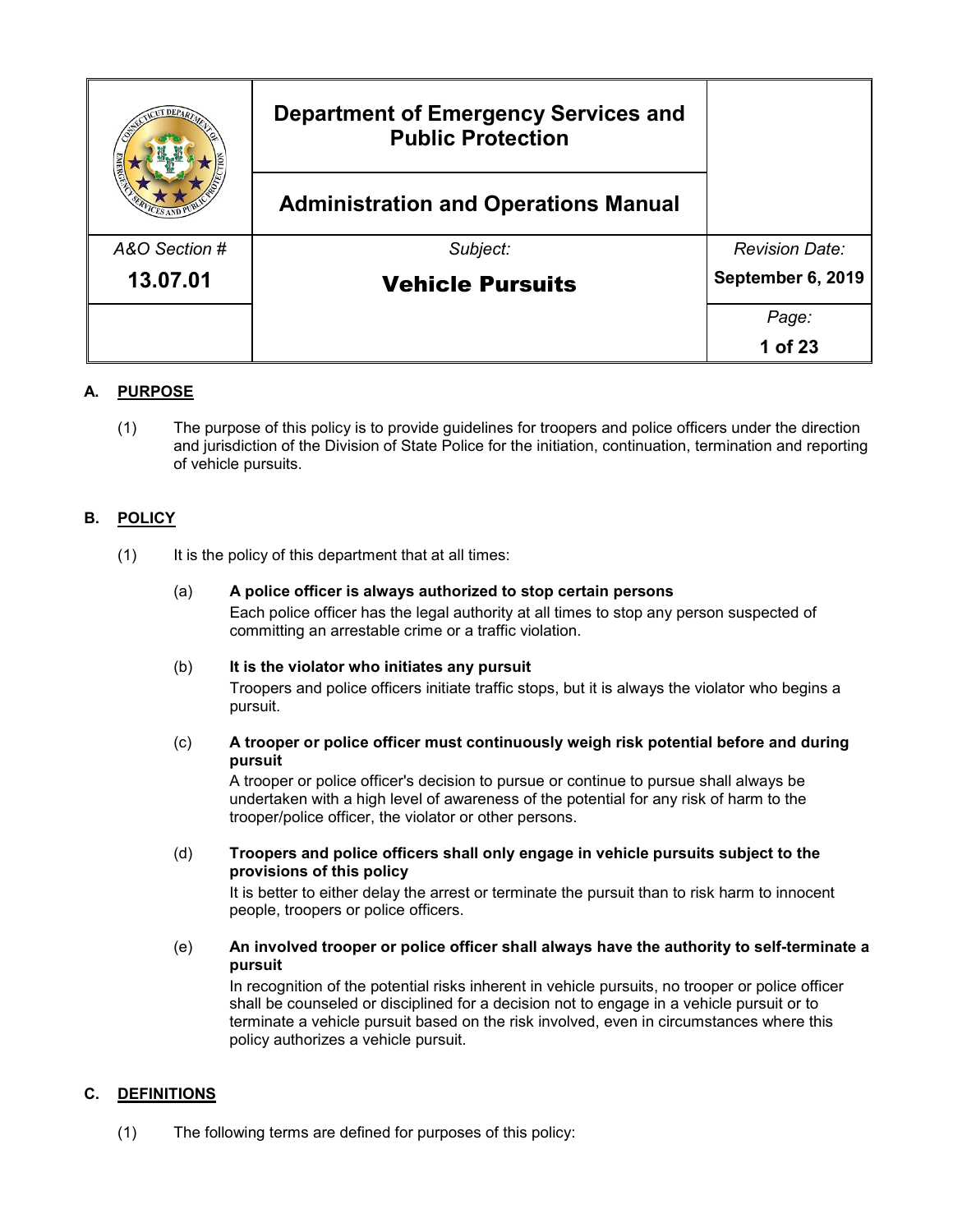|               | <b>Department of Emergency Services and</b><br><b>Public Protection</b> |                       |
|---------------|-------------------------------------------------------------------------|-----------------------|
|               | <b>Administration and Operations Manual</b>                             |                       |
| A&O Section # | Subject:                                                                | <b>Revision Date:</b> |
| 13.07.01      | <b>Vehicle Pursuits</b>                                                 | September 6, 2019     |
|               |                                                                         | Page:                 |
|               |                                                                         | 1 of 23               |

# **A. PURPOSE**

(1) The purpose of this policy is to provide guidelines for troopers and police officers under the direction and jurisdiction of the Division of State Police for the initiation, continuation, termination and reporting of vehicle pursuits.

# **B. POLICY**

- (1) It is the policy of this department that at all times:
	- (a) **A police officer is always authorized to stop certain persons** Each police officer has the legal authority at all times to stop any person suspected of committing an arrestable crime or a traffic violation.
	- (b) **It is the violator who initiates any pursuit**

Troopers and police officers initiate traffic stops, but it is always the violator who begins a pursuit.

(c) **A trooper or police officer must continuously weigh risk potential before and during pursuit**

A trooper or police officer's decision to pursue or continue to pursue shall always be undertaken with a high level of awareness of the potential for any risk of harm to the trooper/police officer, the violator or other persons.

(d) **Troopers and police officers shall only engage in vehicle pursuits subject to the provisions of this policy**

It is better to either delay the arrest or terminate the pursuit than to risk harm to innocent people, troopers or police officers.

(e) **An involved trooper or police officer shall always have the authority to self-terminate a pursuit** 

In recognition of the potential risks inherent in vehicle pursuits, no trooper or police officer shall be counseled or disciplined for a decision not to engage in a vehicle pursuit or to terminate a vehicle pursuit based on the risk involved, even in circumstances where this policy authorizes a vehicle pursuit.

## **C. DEFINITIONS**

(1) The following terms are defined for purposes of this policy: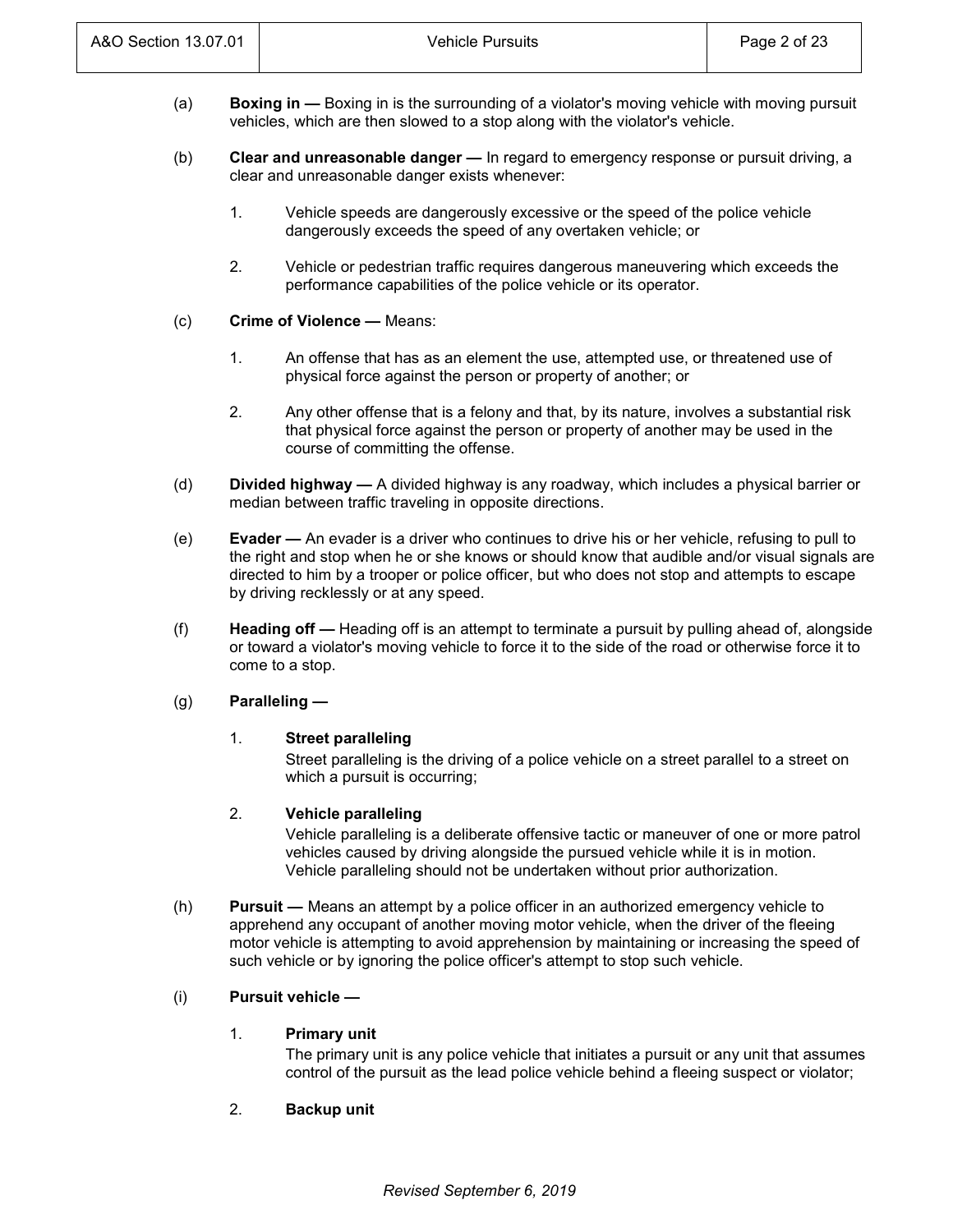- (a) **Boxing in —** Boxing in is the surrounding of a violator's moving vehicle with moving pursuit vehicles, which are then slowed to a stop along with the violator's vehicle.
- (b) **Clear and unreasonable danger —** In regard to emergency response or pursuit driving, a clear and unreasonable danger exists whenever:
	- 1. Vehicle speeds are dangerously excessive or the speed of the police vehicle dangerously exceeds the speed of any overtaken vehicle; or
	- 2. Vehicle or pedestrian traffic requires dangerous maneuvering which exceeds the performance capabilities of the police vehicle or its operator.
- (c) **Crime of Violence —** Means:
	- 1. An offense that has as an element the use, attempted use, or threatened use of physical force against the person or property of another; or
	- 2. Any other offense that is a felony and that, by its nature, involves a substantial risk that physical force against the person or property of another may be used in the course of committing the offense.
- (d) **Divided highway —** A divided highway is any roadway, which includes a physical barrier or median between traffic traveling in opposite directions.
- (e) **Evader —** An evader is a driver who continues to drive his or her vehicle, refusing to pull to the right and stop when he or she knows or should know that audible and/or visual signals are directed to him by a trooper or police officer, but who does not stop and attempts to escape by driving recklessly or at any speed.
- (f) **Heading off —** Heading off is an attempt to terminate a pursuit by pulling ahead of, alongside or toward a violator's moving vehicle to force it to the side of the road or otherwise force it to come to a stop.

# (g) **Paralleling —**

## 1. **Street paralleling**

Street paralleling is the driving of a police vehicle on a street parallel to a street on which a pursuit is occurring;

## 2. **Vehicle paralleling**

Vehicle paralleling is a deliberate offensive tactic or maneuver of one or more patrol vehicles caused by driving alongside the pursued vehicle while it is in motion. Vehicle paralleling should not be undertaken without prior authorization.

(h) **Pursuit —** Means an attempt by a police officer in an authorized emergency vehicle to apprehend any occupant of another moving motor vehicle, when the driver of the fleeing motor vehicle is attempting to avoid apprehension by maintaining or increasing the speed of such vehicle or by ignoring the police officer's attempt to stop such vehicle.

# (i) **Pursuit vehicle —**

## 1. **Primary unit**

The primary unit is any police vehicle that initiates a pursuit or any unit that assumes control of the pursuit as the lead police vehicle behind a fleeing suspect or violator;

2. **Backup unit**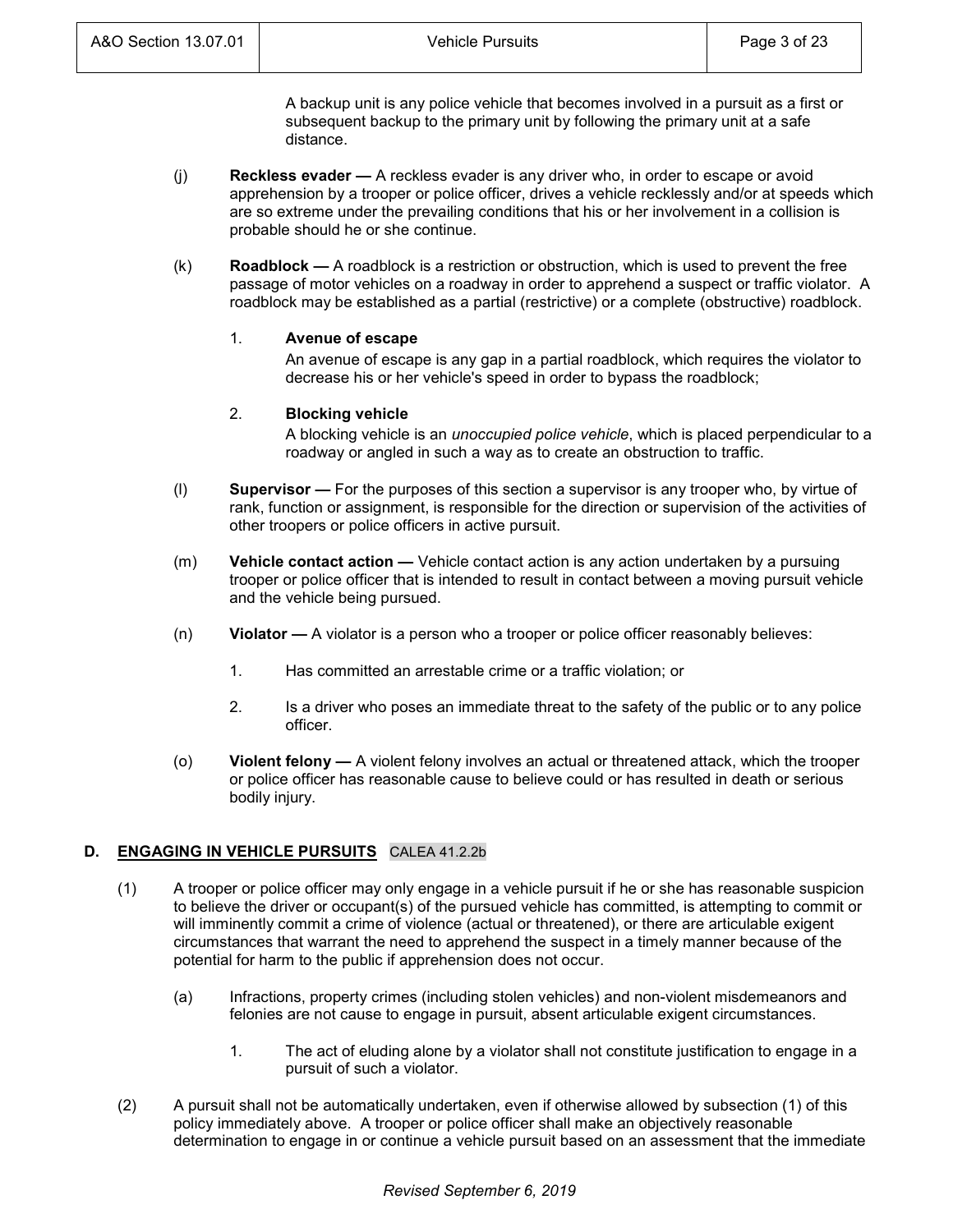A backup unit is any police vehicle that becomes involved in a pursuit as a first or subsequent backup to the primary unit by following the primary unit at a safe distance.

- (j) **Reckless evader —** A reckless evader is any driver who, in order to escape or avoid apprehension by a trooper or police officer, drives a vehicle recklessly and/or at speeds which are so extreme under the prevailing conditions that his or her involvement in a collision is probable should he or she continue.
- (k) **Roadblock —** A roadblock is a restriction or obstruction, which is used to prevent the free passage of motor vehicles on a roadway in order to apprehend a suspect or traffic violator. A roadblock may be established as a partial (restrictive) or a complete (obstructive) roadblock.

## 1. **Avenue of escape**

An avenue of escape is any gap in a partial roadblock, which requires the violator to decrease his or her vehicle's speed in order to bypass the roadblock;

# 2. **Blocking vehicle**

A blocking vehicle is an *unoccupied police vehicle*, which is placed perpendicular to a roadway or angled in such a way as to create an obstruction to traffic.

- (l) **Supervisor —** For the purposes of this section a supervisor is any trooper who, by virtue of rank, function or assignment, is responsible for the direction or supervision of the activities of other troopers or police officers in active pursuit.
- (m) **Vehicle contact action —** Vehicle contact action is any action undertaken by a pursuing trooper or police officer that is intended to result in contact between a moving pursuit vehicle and the vehicle being pursued.
- (n) **Violator —** A violator is a person who a trooper or police officer reasonably believes:
	- 1. Has committed an arrestable crime or a traffic violation; or
	- 2. Is a driver who poses an immediate threat to the safety of the public or to any police officer.
- (o) **Violent felony —** A violent felony involves an actual or threatened attack, which the trooper or police officer has reasonable cause to believe could or has resulted in death or serious bodily injury.

# **D. ENGAGING IN VEHICLE PURSUITS** CALEA 41.2.2b

- (1) A trooper or police officer may only engage in a vehicle pursuit if he or she has reasonable suspicion to believe the driver or occupant(s) of the pursued vehicle has committed, is attempting to commit or will imminently commit a crime of violence (actual or threatened), or there are articulable exigent circumstances that warrant the need to apprehend the suspect in a timely manner because of the potential for harm to the public if apprehension does not occur.
	- (a) Infractions, property crimes (including stolen vehicles) and non-violent misdemeanors and felonies are not cause to engage in pursuit, absent articulable exigent circumstances.
		- 1. The act of eluding alone by a violator shall not constitute justification to engage in a pursuit of such a violator.
- (2) A pursuit shall not be automatically undertaken, even if otherwise allowed by subsection (1) of this policy immediately above. A trooper or police officer shall make an objectively reasonable determination to engage in or continue a vehicle pursuit based on an assessment that the immediate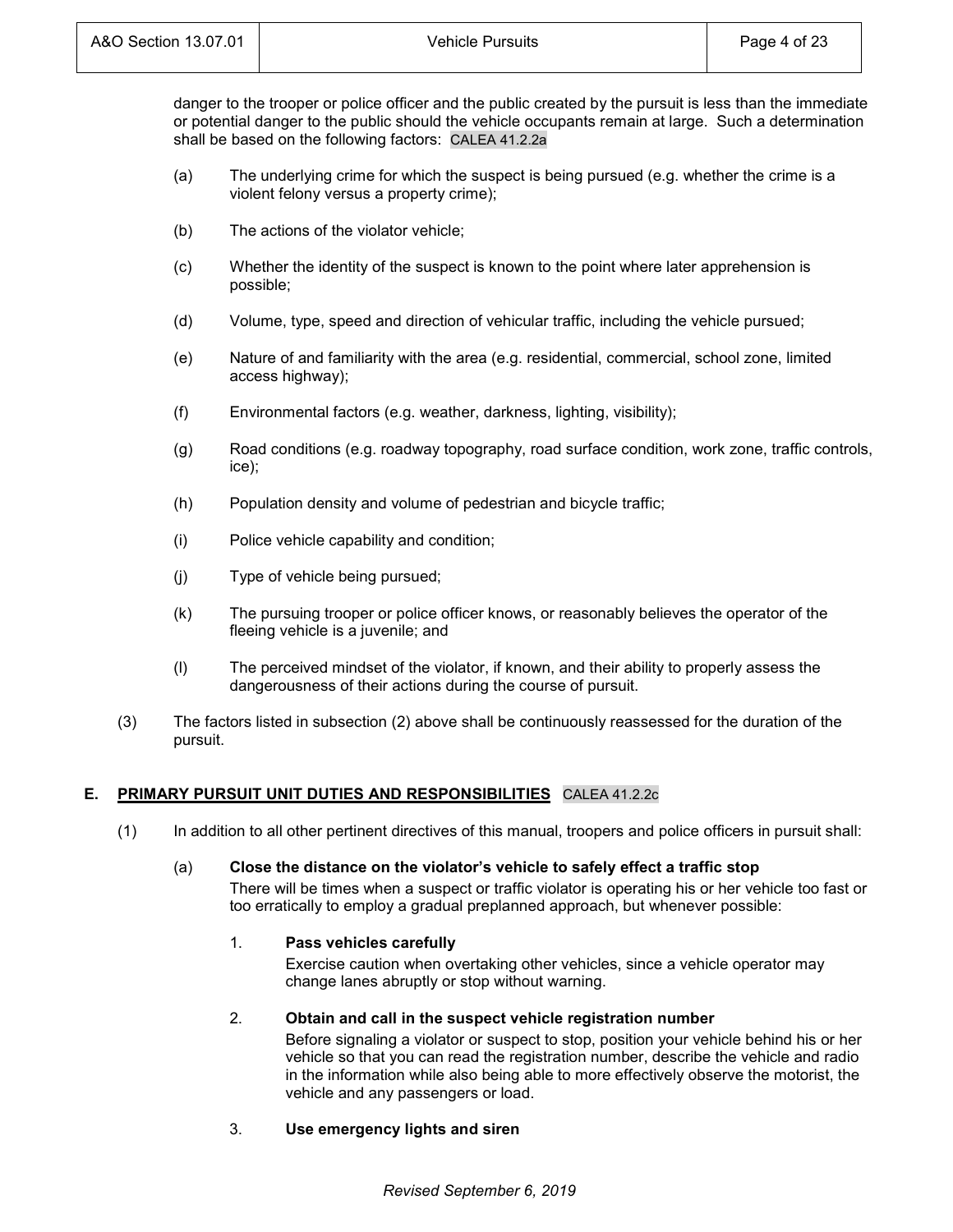danger to the trooper or police officer and the public created by the pursuit is less than the immediate or potential danger to the public should the vehicle occupants remain at large. Such a determination shall be based on the following factors: CALEA 41.2.2a

- (a) The underlying crime for which the suspect is being pursued (e.g. whether the crime is a violent felony versus a property crime);
- (b) The actions of the violator vehicle;
- (c) Whether the identity of the suspect is known to the point where later apprehension is possible;
- (d) Volume, type, speed and direction of vehicular traffic, including the vehicle pursued;
- (e) Nature of and familiarity with the area (e.g. residential, commercial, school zone, limited access highway);
- (f) Environmental factors (e.g. weather, darkness, lighting, visibility);
- (g) Road conditions (e.g. roadway topography, road surface condition, work zone, traffic controls, ice);
- (h) Population density and volume of pedestrian and bicycle traffic;
- (i) Police vehicle capability and condition;
- (j) Type of vehicle being pursued;
- (k) The pursuing trooper or police officer knows, or reasonably believes the operator of the fleeing vehicle is a juvenile; and
- (l) The perceived mindset of the violator, if known, and their ability to properly assess the dangerousness of their actions during the course of pursuit.
- (3) The factors listed in subsection (2) above shall be continuously reassessed for the duration of the pursuit.

## **E. PRIMARY PURSUIT UNIT DUTIES AND RESPONSIBILITIES** CALEA 41.2.2c

(1) In addition to all other pertinent directives of this manual, troopers and police officers in pursuit shall:

## (a) **Close the distance on the violator's vehicle to safely effect a traffic stop**

There will be times when a suspect or traffic violator is operating his or her vehicle too fast or too erratically to employ a gradual preplanned approach, but whenever possible:

# 1. **Pass vehicles carefully**

Exercise caution when overtaking other vehicles, since a vehicle operator may change lanes abruptly or stop without warning.

# 2. **Obtain and call in the suspect vehicle registration number**

Before signaling a violator or suspect to stop, position your vehicle behind his or her vehicle so that you can read the registration number, describe the vehicle and radio in the information while also being able to more effectively observe the motorist, the vehicle and any passengers or load.

3. **Use emergency lights and siren**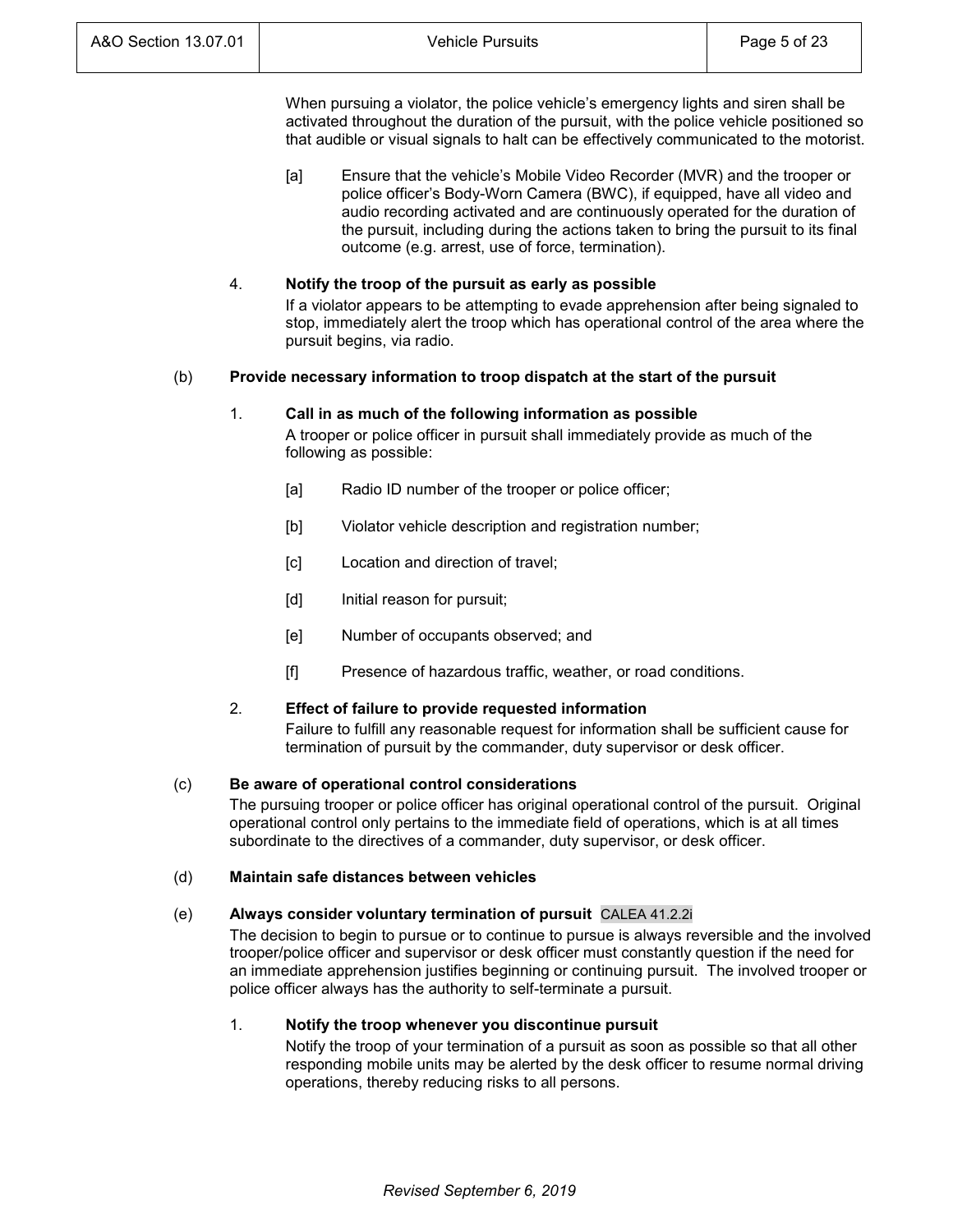When pursuing a violator, the police vehicle's emergency lights and siren shall be activated throughout the duration of the pursuit, with the police vehicle positioned so that audible or visual signals to halt can be effectively communicated to the motorist.

[a] Ensure that the vehicle's Mobile Video Recorder (MVR) and the trooper or police officer's Body-Worn Camera (BWC), if equipped, have all video and audio recording activated and are continuously operated for the duration of the pursuit, including during the actions taken to bring the pursuit to its final outcome (e.g. arrest, use of force, termination).

## 4. **Notify the troop of the pursuit as early as possible**

If a violator appears to be attempting to evade apprehension after being signaled to stop, immediately alert the troop which has operational control of the area where the pursuit begins, via radio.

## (b) **Provide necessary information to troop dispatch at the start of the pursuit**

#### 1. **Call in as much of the following information as possible**

A trooper or police officer in pursuit shall immediately provide as much of the following as possible:

- [a] Radio ID number of the trooper or police officer;
- [b] Violator vehicle description and registration number;
- [c] Location and direction of travel;
- [d] Initial reason for pursuit;
- [e] Number of occupants observed; and
- [f] Presence of hazardous traffic, weather, or road conditions.

#### 2. **Effect of failure to provide requested information**

Failure to fulfill any reasonable request for information shall be sufficient cause for termination of pursuit by the commander, duty supervisor or desk officer.

#### (c) **Be aware of operational control considerations**

The pursuing trooper or police officer has original operational control of the pursuit. Original operational control only pertains to the immediate field of operations, which is at all times subordinate to the directives of a commander, duty supervisor, or desk officer.

#### (d) **Maintain safe distances between vehicles**

## (e) **Always consider voluntary termination of pursuit** CALEA 41.2.2i

The decision to begin to pursue or to continue to pursue is always reversible and the involved trooper/police officer and supervisor or desk officer must constantly question if the need for an immediate apprehension justifies beginning or continuing pursuit. The involved trooper or police officer always has the authority to self-terminate a pursuit.

### 1. **Notify the troop whenever you discontinue pursuit**

Notify the troop of your termination of a pursuit as soon as possible so that all other responding mobile units may be alerted by the desk officer to resume normal driving operations, thereby reducing risks to all persons.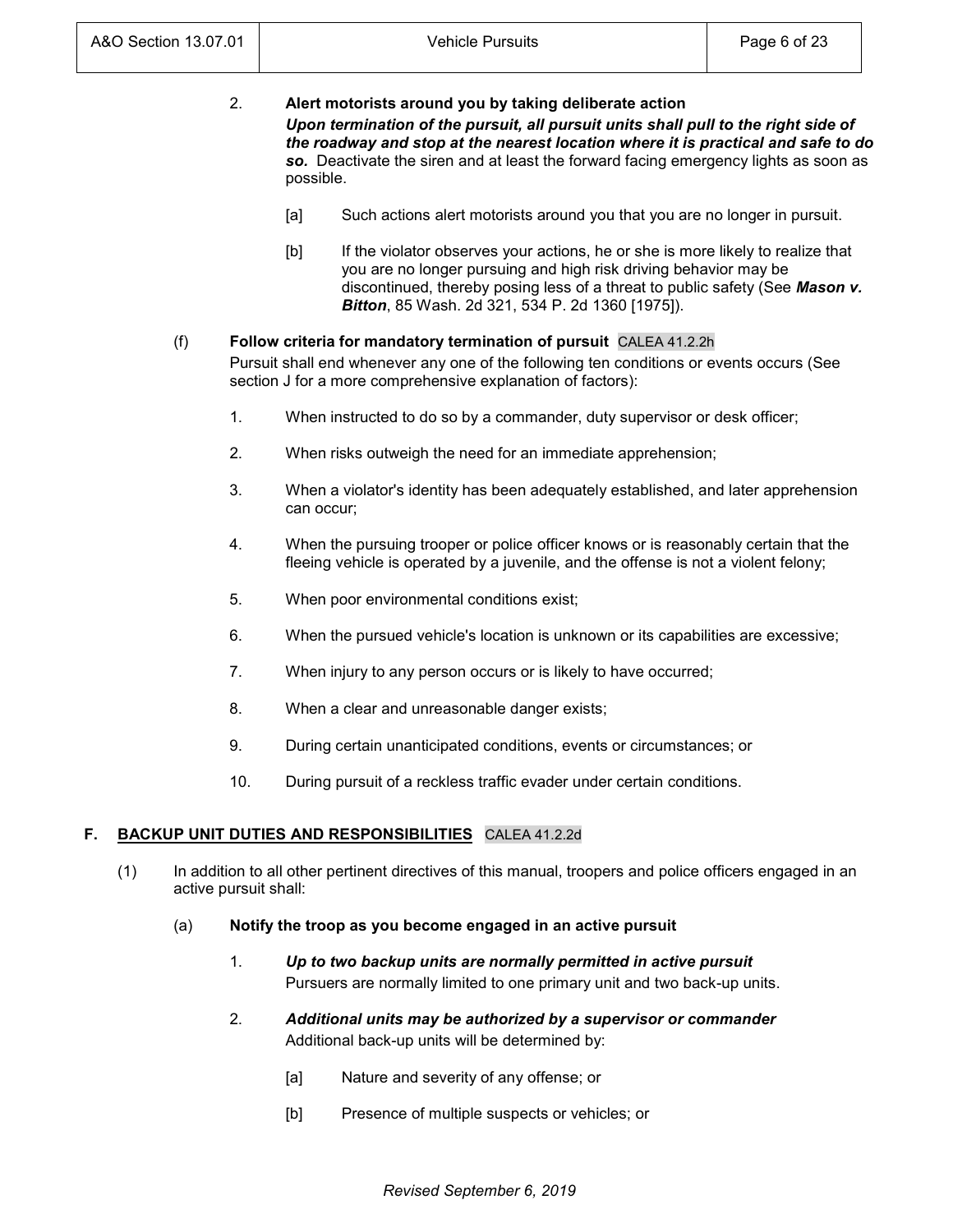| 2. | Alert motorists around you by taking deliberate action                               |  |  |  |  |  |  |
|----|--------------------------------------------------------------------------------------|--|--|--|--|--|--|
|    | Upon termination of the pursuit, all pursuit units shall pull to the right side of   |  |  |  |  |  |  |
|    | the roadway and stop at the nearest location where it is practical and safe to do    |  |  |  |  |  |  |
|    | so. Deactivate the siren and at least the forward facing emergency lights as soon as |  |  |  |  |  |  |
|    | possible.                                                                            |  |  |  |  |  |  |

- [a] Such actions alert motorists around you that you are no longer in pursuit.
- [b] If the violator observes your actions, he or she is more likely to realize that you are no longer pursuing and high risk driving behavior may be discontinued, thereby posing less of a threat to public safety (See *Mason v. Bitton*, 85 Wash. 2d 321, 534 P. 2d 1360 [1975]).

# (f) **Follow criteria for mandatory termination of pursuit** CALEA 41.2.2h

Pursuit shall end whenever any one of the following ten conditions or events occurs (See section J for a more comprehensive explanation of factors):

- 1. When instructed to do so by a commander, duty supervisor or desk officer;
- 2. When risks outweigh the need for an immediate apprehension;
- 3. When a violator's identity has been adequately established, and later apprehension can occur;
- 4. When the pursuing trooper or police officer knows or is reasonably certain that the fleeing vehicle is operated by a juvenile, and the offense is not a violent felony;
- 5. When poor environmental conditions exist;
- 6. When the pursued vehicle's location is unknown or its capabilities are excessive;
- 7. When injury to any person occurs or is likely to have occurred;
- 8. When a clear and unreasonable danger exists;
- 9. During certain unanticipated conditions, events or circumstances; or
- 10. During pursuit of a reckless traffic evader under certain conditions.

# **F. BACKUP UNIT DUTIES AND RESPONSIBILITIES** CALEA 41.2.2d

- (1) In addition to all other pertinent directives of this manual, troopers and police officers engaged in an active pursuit shall:
	- (a) **Notify the troop as you become engaged in an active pursuit**
		- 1. *Up to two backup units are normally permitted in active pursuit* Pursuers are normally limited to one primary unit and two back-up units.
		- 2. *Additional units may be authorized by a supervisor or commander* Additional back-up units will be determined by:
			- [a] Nature and severity of any offense; or
			- [b] Presence of multiple suspects or vehicles; or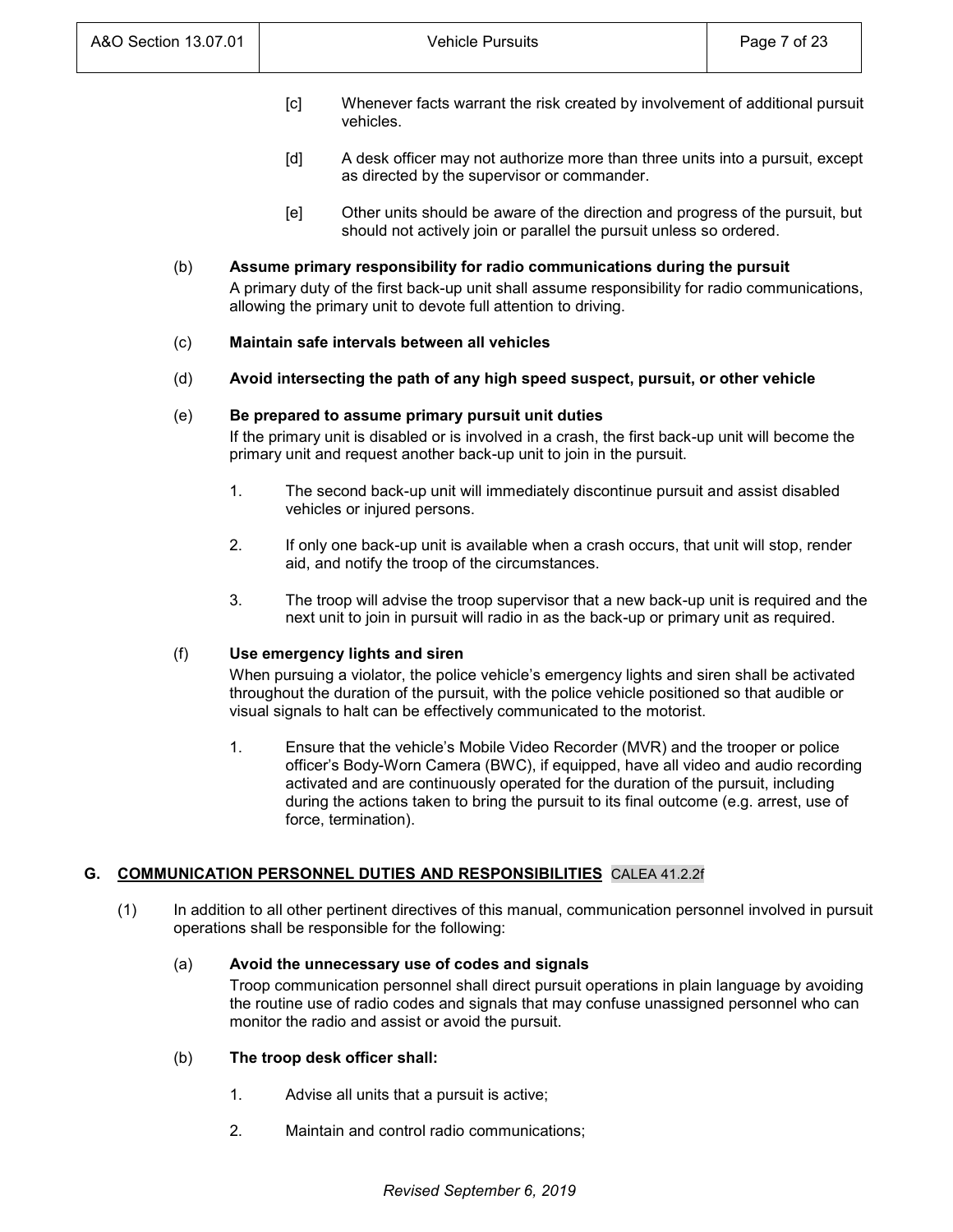- [c] Whenever facts warrant the risk created by involvement of additional pursuit vehicles.
- [d] A desk officer may not authorize more than three units into a pursuit, except as directed by the supervisor or commander.
- [e] Other units should be aware of the direction and progress of the pursuit, but should not actively join or parallel the pursuit unless so ordered.

# (b) **Assume primary responsibility for radio communications during the pursuit**

A primary duty of the first back-up unit shall assume responsibility for radio communications, allowing the primary unit to devote full attention to driving.

## (c) **Maintain safe intervals between all vehicles**

(d) **Avoid intersecting the path of any high speed suspect, pursuit, or other vehicle**

## (e) **Be prepared to assume primary pursuit unit duties**

If the primary unit is disabled or is involved in a crash, the first back-up unit will become the primary unit and request another back-up unit to join in the pursuit.

- 1. The second back-up unit will immediately discontinue pursuit and assist disabled vehicles or injured persons.
- 2. If only one back-up unit is available when a crash occurs, that unit will stop, render aid, and notify the troop of the circumstances.
- 3. The troop will advise the troop supervisor that a new back-up unit is required and the next unit to join in pursuit will radio in as the back-up or primary unit as required.

# (f) **Use emergency lights and siren**

When pursuing a violator, the police vehicle's emergency lights and siren shall be activated throughout the duration of the pursuit, with the police vehicle positioned so that audible or visual signals to halt can be effectively communicated to the motorist.

1. Ensure that the vehicle's Mobile Video Recorder (MVR) and the trooper or police officer's Body-Worn Camera (BWC), if equipped, have all video and audio recording activated and are continuously operated for the duration of the pursuit, including during the actions taken to bring the pursuit to its final outcome (e.g. arrest, use of force, termination).

# **G. COMMUNICATION PERSONNEL DUTIES AND RESPONSIBILITIES** CALEA 41.2.2f

(1) In addition to all other pertinent directives of this manual, communication personnel involved in pursuit operations shall be responsible for the following:

## (a) **Avoid the unnecessary use of codes and signals**

Troop communication personnel shall direct pursuit operations in plain language by avoiding the routine use of radio codes and signals that may confuse unassigned personnel who can monitor the radio and assist or avoid the pursuit.

## (b) **The troop desk officer shall:**

- 1. Advise all units that a pursuit is active;
- 2. Maintain and control radio communications;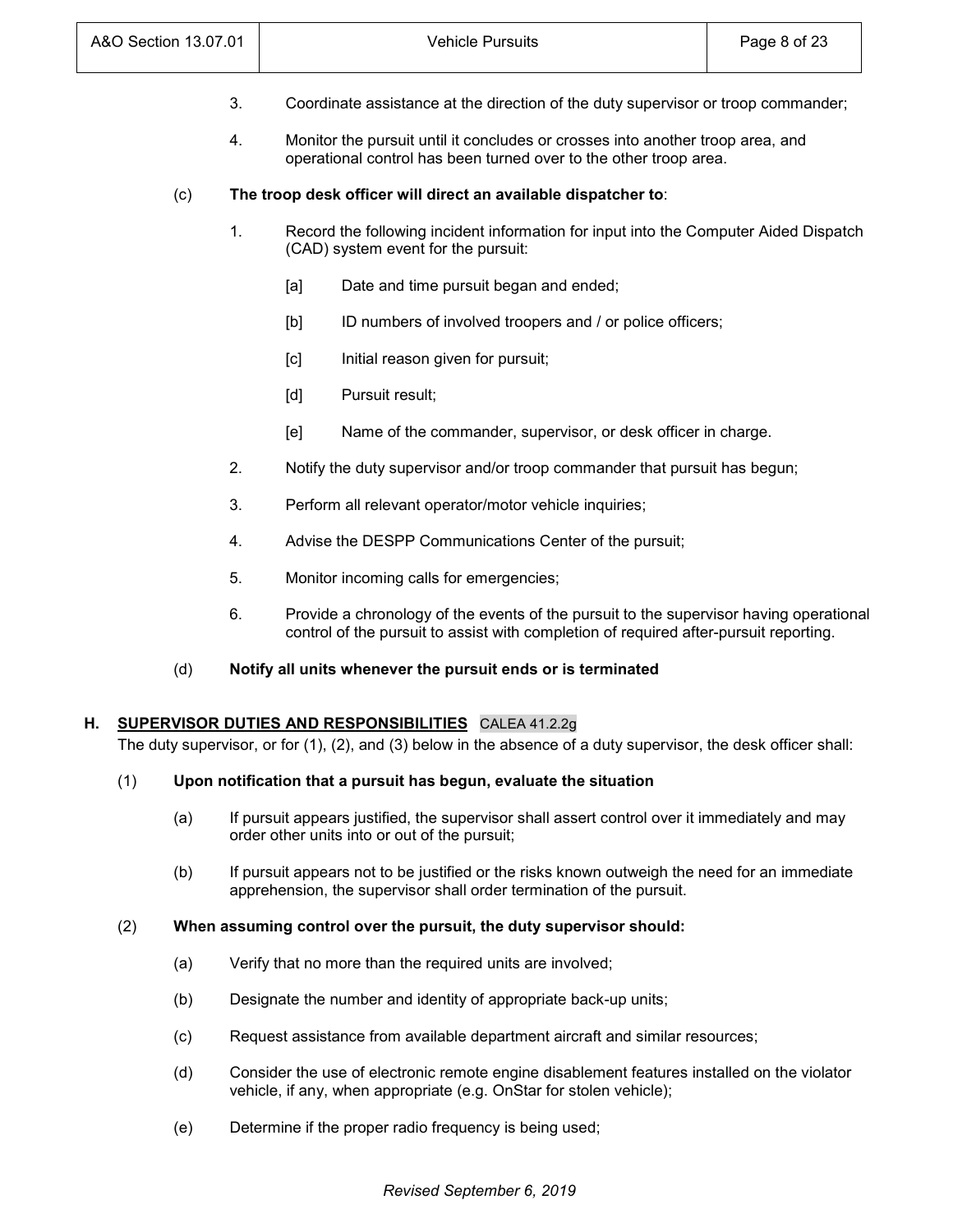| A&O Section 13.07.01 |    |                                                                                                                                                                                 | Page 8 of 23                                                              |  |  |
|----------------------|----|---------------------------------------------------------------------------------------------------------------------------------------------------------------------------------|---------------------------------------------------------------------------|--|--|
|                      | 3. | Coordinate assistance at the direction of the duty supervisor or troop commander;                                                                                               |                                                                           |  |  |
|                      | 4. | Monitor the pursuit until it concludes or crosses into another troop area, and<br>operational control has been turned over to the other troop area.                             |                                                                           |  |  |
| (c)                  |    |                                                                                                                                                                                 | The troop desk officer will direct an available dispatcher to:            |  |  |
|                      | 1. | Record the following incident information for input into the Computer Aided Dispatch<br>(CAD) system event for the pursuit:                                                     |                                                                           |  |  |
|                      |    | [a]                                                                                                                                                                             | Date and time pursuit began and ended;                                    |  |  |
|                      |    | [b]                                                                                                                                                                             | ID numbers of involved troopers and / or police officers;                 |  |  |
|                      |    | [c]                                                                                                                                                                             | Initial reason given for pursuit;                                         |  |  |
|                      |    | [d]                                                                                                                                                                             | Pursuit result;                                                           |  |  |
|                      |    | [e]                                                                                                                                                                             | Name of the commander, supervisor, or desk officer in charge.             |  |  |
| 2.                   |    |                                                                                                                                                                                 | Notify the duty supervisor and/or troop commander that pursuit has begun; |  |  |
|                      | 3. | Perform all relevant operator/motor vehicle inquiries;                                                                                                                          |                                                                           |  |  |
|                      | 4. | Advise the DESPP Communications Center of the pursuit;                                                                                                                          |                                                                           |  |  |
|                      | 5. | Monitor incoming calls for emergencies;                                                                                                                                         |                                                                           |  |  |
|                      | 6. | Provide a chronology of the events of the pursuit to the supervisor having operational<br>control of the pursuit to assist with completion of required after-pursuit reporting. |                                                                           |  |  |
| (d)                  |    |                                                                                                                                                                                 | Notify all units whenever the pursuit ends or is terminated               |  |  |

The duty supervisor, or for (1), (2), and (3) below in the absence of a duty supervisor, the desk officer shall:

# (1) **Upon notification that a pursuit has begun, evaluate the situation**

- (a) If pursuit appears justified, the supervisor shall assert control over it immediately and may order other units into or out of the pursuit;
- (b) If pursuit appears not to be justified or the risks known outweigh the need for an immediate apprehension, the supervisor shall order termination of the pursuit.

# (2) **When assuming control over the pursuit, the duty supervisor should:**

- (a) Verify that no more than the required units are involved;
- (b) Designate the number and identity of appropriate back-up units;
- (c) Request assistance from available department aircraft and similar resources;
- (d) Consider the use of electronic remote engine disablement features installed on the violator vehicle, if any, when appropriate (e.g. OnStar for stolen vehicle);
- (e) Determine if the proper radio frequency is being used;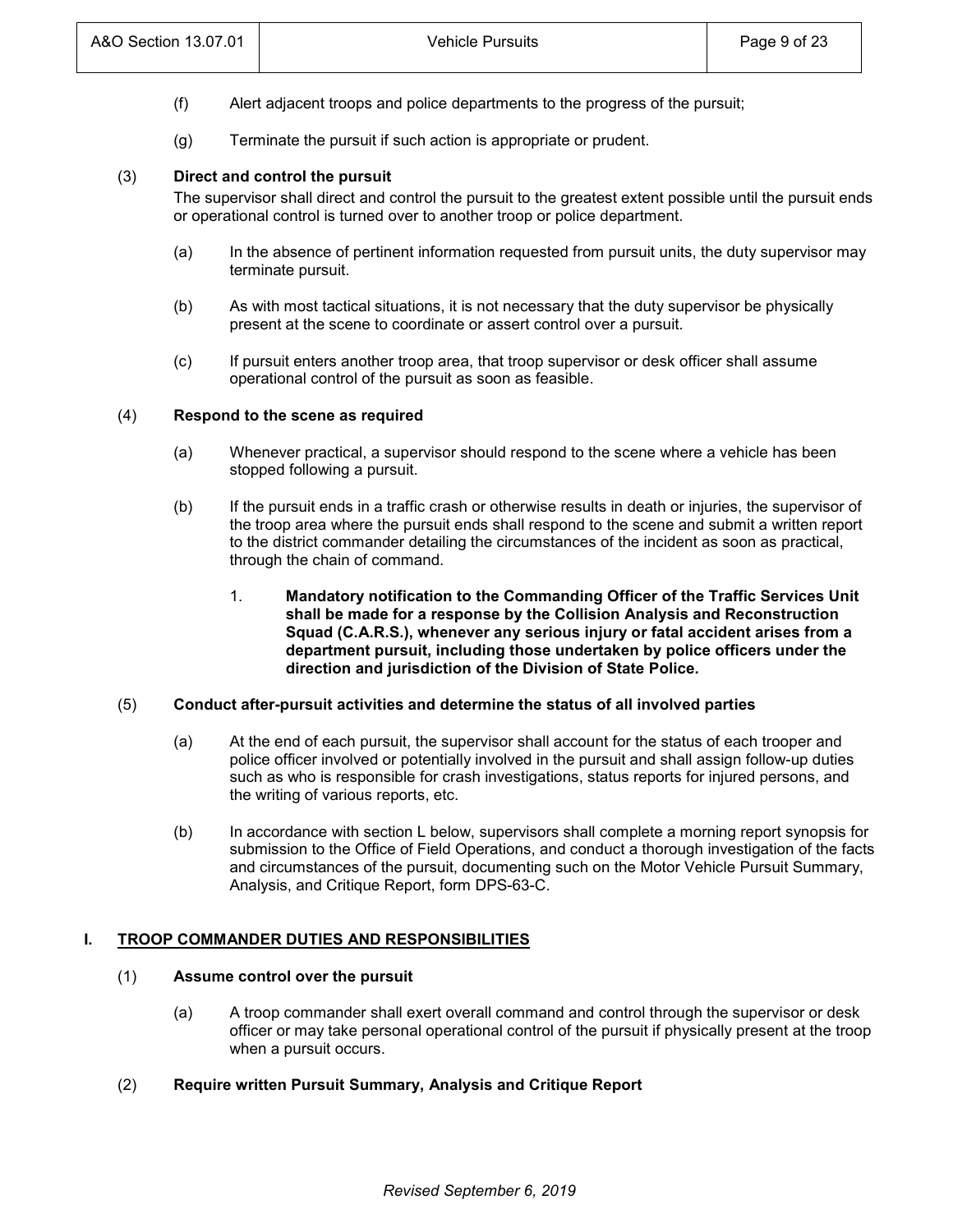- (f) Alert adjacent troops and police departments to the progress of the pursuit;
- (g) Terminate the pursuit if such action is appropriate or prudent.

## (3) **Direct and control the pursuit**

The supervisor shall direct and control the pursuit to the greatest extent possible until the pursuit ends or operational control is turned over to another troop or police department.

- (a) In the absence of pertinent information requested from pursuit units, the duty supervisor may terminate pursuit.
- (b) As with most tactical situations, it is not necessary that the duty supervisor be physically present at the scene to coordinate or assert control over a pursuit*.*
- (c) If pursuit enters another troop area, that troop supervisor or desk officer shall assume operational control of the pursuit as soon as feasible.

## (4) **Respond to the scene as required**

- (a) Whenever practical, a supervisor should respond to the scene where a vehicle has been stopped following a pursuit.
- (b) If the pursuit ends in a traffic crash or otherwise results in death or injuries, the supervisor of the troop area where the pursuit ends shall respond to the scene and submit a written report to the district commander detailing the circumstances of the incident as soon as practical, through the chain of command.
	- 1. **Mandatory notification to the Commanding Officer of the Traffic Services Unit shall be made for a response by the Collision Analysis and Reconstruction Squad (C.A.R.S.), whenever any serious injury or fatal accident arises from a department pursuit, including those undertaken by police officers under the direction and jurisdiction of the Division of State Police.**

## (5) **Conduct after-pursuit activities and determine the status of all involved parties**

- (a) At the end of each pursuit, the supervisor shall account for the status of each trooper and police officer involved or potentially involved in the pursuit and shall assign follow-up duties such as who is responsible for crash investigations, status reports for injured persons, and the writing of various reports, etc.
- (b) In accordance with section L below, supervisors shall complete a morning report synopsis for submission to the Office of Field Operations, and conduct a thorough investigation of the facts and circumstances of the pursuit, documenting such on the Motor Vehicle Pursuit Summary, Analysis, and Critique Report, form DPS-63-C.

## **I. TROOP COMMANDER DUTIES AND RESPONSIBILITIES**

# (1) **Assume control over the pursuit**

- (a) A troop commander shall exert overall command and control through the supervisor or desk officer or may take personal operational control of the pursuit if physically present at the troop when a pursuit occurs.
- (2) **Require written Pursuit Summary, Analysis and Critique Report**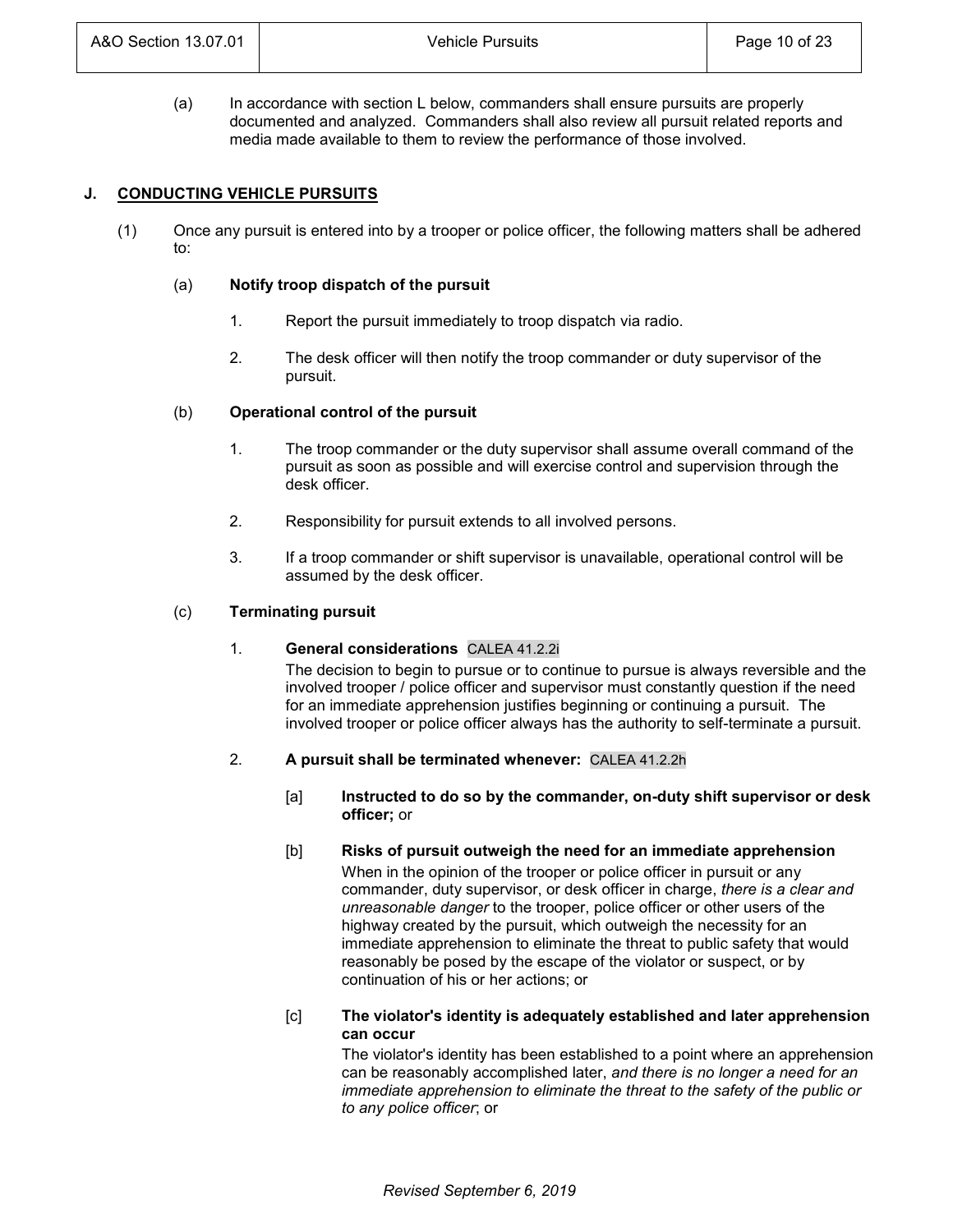(a) In accordance with section L below, commanders shall ensure pursuits are properly documented and analyzed. Commanders shall also review all pursuit related reports and media made available to them to review the performance of those involved.

## **J. CONDUCTING VEHICLE PURSUITS**

(1) Once any pursuit is entered into by a trooper or police officer, the following matters shall be adhered to:

## (a) **Notify troop dispatch of the pursuit**

- 1. Report the pursuit immediately to troop dispatch via radio.
- 2. The desk officer will then notify the troop commander or duty supervisor of the pursuit.

## (b) **Operational control of the pursuit**

- 1. The troop commander or the duty supervisor shall assume overall command of the pursuit as soon as possible and will exercise control and supervision through the desk officer.
- 2. Responsibility for pursuit extends to all involved persons.
- 3. If a troop commander or shift supervisor is unavailable, operational control will be assumed by the desk officer.

#### (c) **Terminating pursuit**

## 1. **General considerations** CALEA 41.2.2i

The decision to begin to pursue or to continue to pursue is always reversible and the involved trooper / police officer and supervisor must constantly question if the need for an immediate apprehension justifies beginning or continuing a pursuit. The involved trooper or police officer always has the authority to self-terminate a pursuit.

## 2. **A pursuit shall be terminated whenever:** CALEA 41.2.2h

- [a] **Instructed to do so by the commander, on-duty shift supervisor or desk officer;** or
- [b] **Risks of pursuit outweigh the need for an immediate apprehension** When in the opinion of the trooper or police officer in pursuit or any commander, duty supervisor, or desk officer in charge, *there is a clear and unreasonable danger* to the trooper, police officer or other users of the highway created by the pursuit, which outweigh the necessity for an immediate apprehension to eliminate the threat to public safety that would reasonably be posed by the escape of the violator or suspect, or by continuation of his or her actions; or

## [c] **The violator's identity is adequately established and later apprehension can occur**

The violator's identity has been established to a point where an apprehension can be reasonably accomplished later, *and there is no longer a need for an immediate apprehension to eliminate the threat to the safety of the public or to any police officer*; or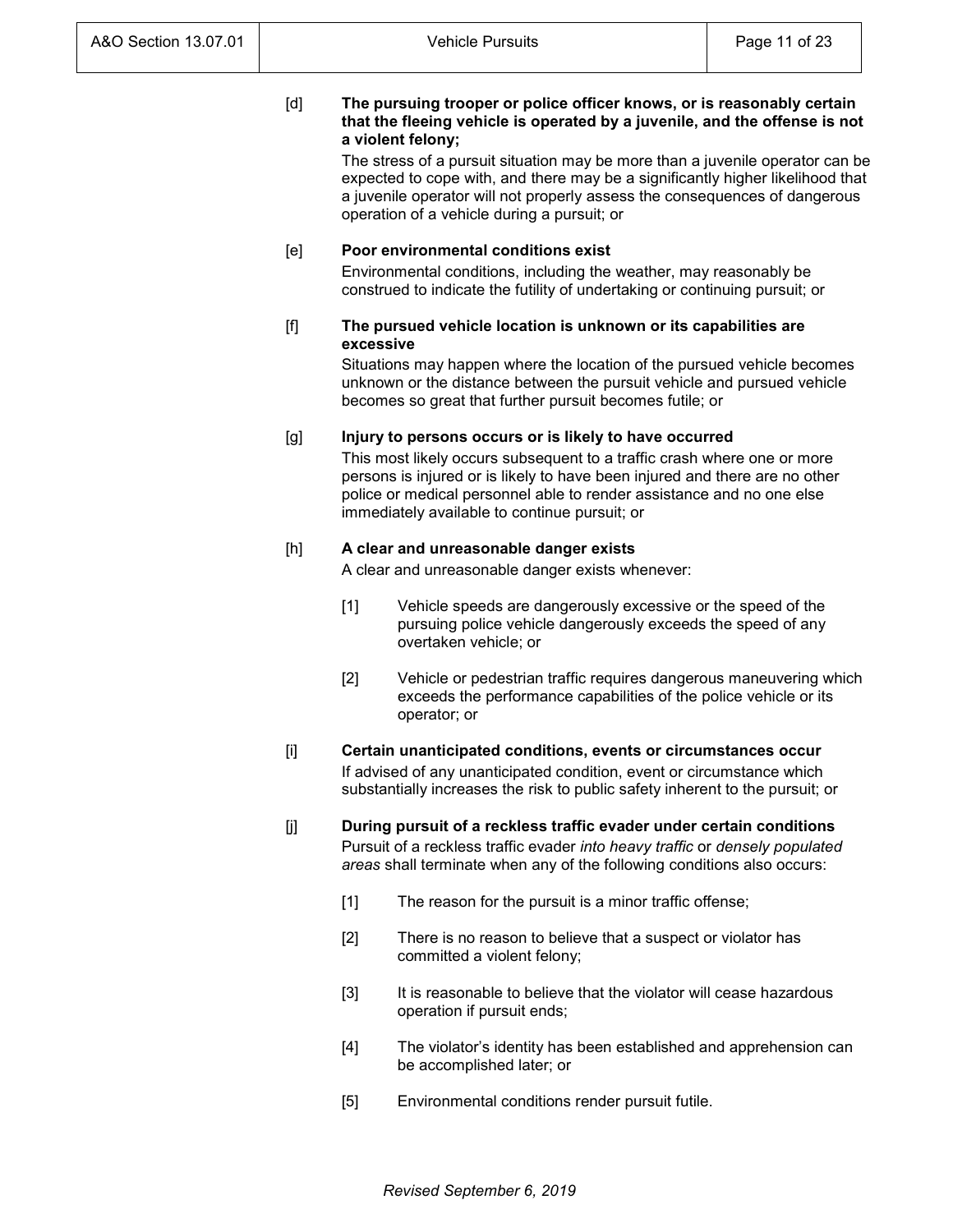## [d] **The pursuing trooper or police officer knows, or is reasonably certain that the fleeing vehicle is operated by a juvenile, and the offense is not a violent felony;**

The stress of a pursuit situation may be more than a juvenile operator can be expected to cope with, and there may be a significantly higher likelihood that a juvenile operator will not properly assess the consequences of dangerous operation of a vehicle during a pursuit; or

## [e] **Poor environmental conditions exist**

Environmental conditions, including the weather, may reasonably be construed to indicate the futility of undertaking or continuing pursuit; or

## [f] **The pursued vehicle location is unknown or its capabilities are excessive**

Situations may happen where the location of the pursued vehicle becomes unknown or the distance between the pursuit vehicle and pursued vehicle becomes so great that further pursuit becomes futile; or

## [g] **Injury to persons occurs or is likely to have occurred**

This most likely occurs subsequent to a traffic crash where one or more persons is injured or is likely to have been injured and there are no other police or medical personnel able to render assistance and no one else immediately available to continue pursuit; or

# [h] **A clear and unreasonable danger exists**

A clear and unreasonable danger exists whenever:

- [1] Vehicle speeds are dangerously excessive or the speed of the pursuing police vehicle dangerously exceeds the speed of any overtaken vehicle; or
- [2] Vehicle or pedestrian traffic requires dangerous maneuvering which exceeds the performance capabilities of the police vehicle or its operator; or

## [i] **Certain unanticipated conditions, events or circumstances occur** If advised of any unanticipated condition, event or circumstance which substantially increases the risk to public safety inherent to the pursuit; or

- [j] **During pursuit of a reckless traffic evader under certain conditions** Pursuit of a reckless traffic evader *into heavy traffic* or *densely populated areas* shall terminate when any of the following conditions also occurs:
	- [1] The reason for the pursuit is a minor traffic offense;
	- [2] There is no reason to believe that a suspect or violator has committed a violent felony;
	- [3] It is reasonable to believe that the violator will cease hazardous operation if pursuit ends;
	- [4] The violator's identity has been established and apprehension can be accomplished later; or
	- [5] Environmental conditions render pursuit futile.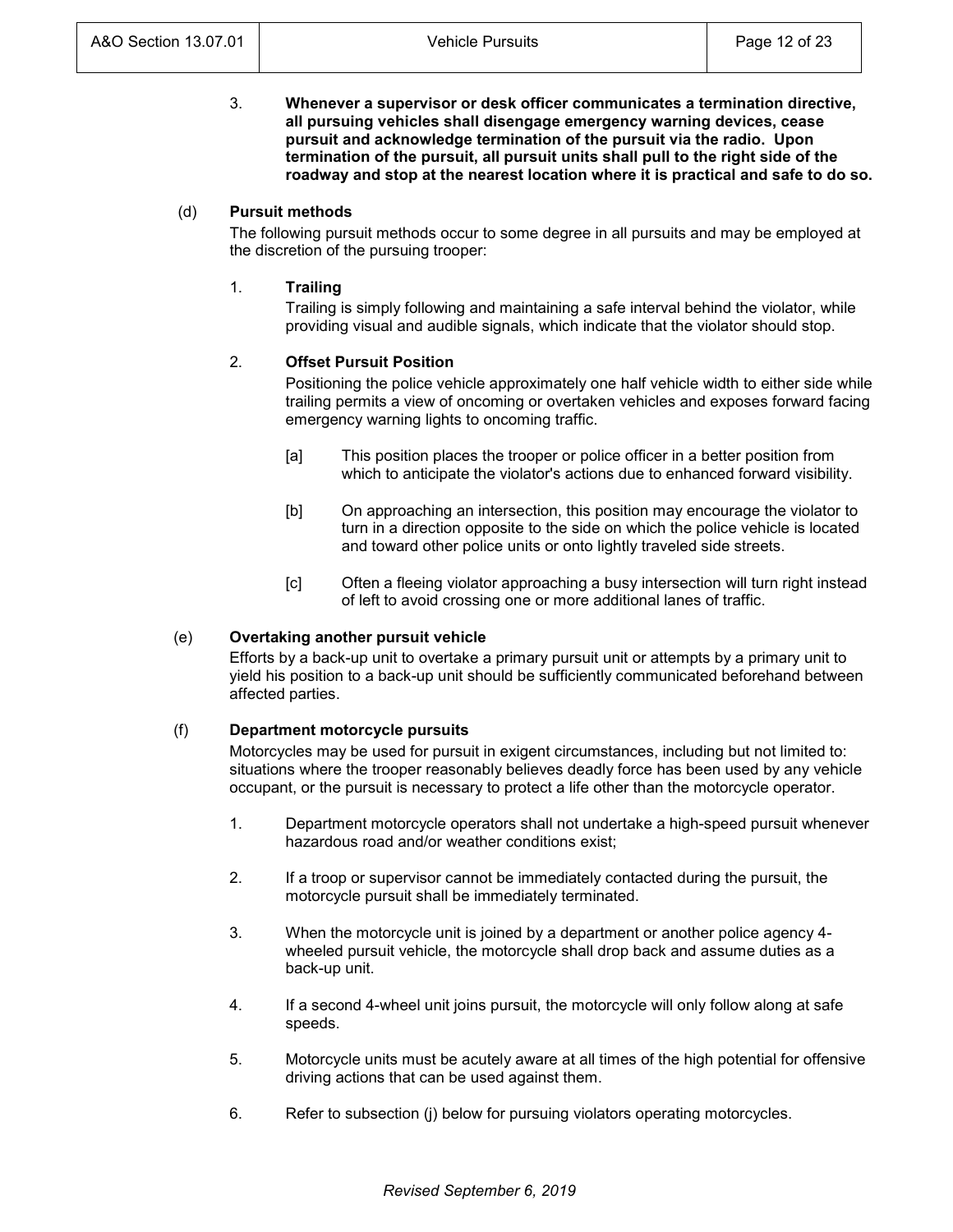3. **Whenever a supervisor or desk officer communicates a termination directive, all pursuing vehicles shall disengage emergency warning devices, cease pursuit and acknowledge termination of the pursuit via the radio. Upon termination of the pursuit, all pursuit units shall pull to the right side of the roadway and stop at the nearest location where it is practical and safe to do so.**

## (d) **Pursuit methods**

The following pursuit methods occur to some degree in all pursuits and may be employed at the discretion of the pursuing trooper:

## 1. **Trailing**

Trailing is simply following and maintaining a safe interval behind the violator, while providing visual and audible signals, which indicate that the violator should stop.

## 2. **Offset Pursuit Position**

Positioning the police vehicle approximately one half vehicle width to either side while trailing permits a view of oncoming or overtaken vehicles and exposes forward facing emergency warning lights to oncoming traffic.

- [a] This position places the trooper or police officer in a better position from which to anticipate the violator's actions due to enhanced forward visibility.
- [b] On approaching an intersection, this position may encourage the violator to turn in a direction opposite to the side on which the police vehicle is located and toward other police units or onto lightly traveled side streets.
- [c] Often a fleeing violator approaching a busy intersection will turn right instead of left to avoid crossing one or more additional lanes of traffic.

## (e) **Overtaking another pursuit vehicle**

Efforts by a back-up unit to overtake a primary pursuit unit or attempts by a primary unit to yield his position to a back-up unit should be sufficiently communicated beforehand between affected parties.

## (f) **Department motorcycle pursuits**

Motorcycles may be used for pursuit in exigent circumstances, including but not limited to: situations where the trooper reasonably believes deadly force has been used by any vehicle occupant, or the pursuit is necessary to protect a life other than the motorcycle operator.

- 1. Department motorcycle operators shall not undertake a high-speed pursuit whenever hazardous road and/or weather conditions exist;
- 2. If a troop or supervisor cannot be immediately contacted during the pursuit, the motorcycle pursuit shall be immediately terminated.
- 3. When the motorcycle unit is joined by a department or another police agency 4 wheeled pursuit vehicle, the motorcycle shall drop back and assume duties as a back-up unit.
- 4. If a second 4-wheel unit joins pursuit, the motorcycle will only follow along at safe speeds.
- 5. Motorcycle units must be acutely aware at all times of the high potential for offensive driving actions that can be used against them.
- 6. Refer to subsection (j) below for pursuing violators operating motorcycles.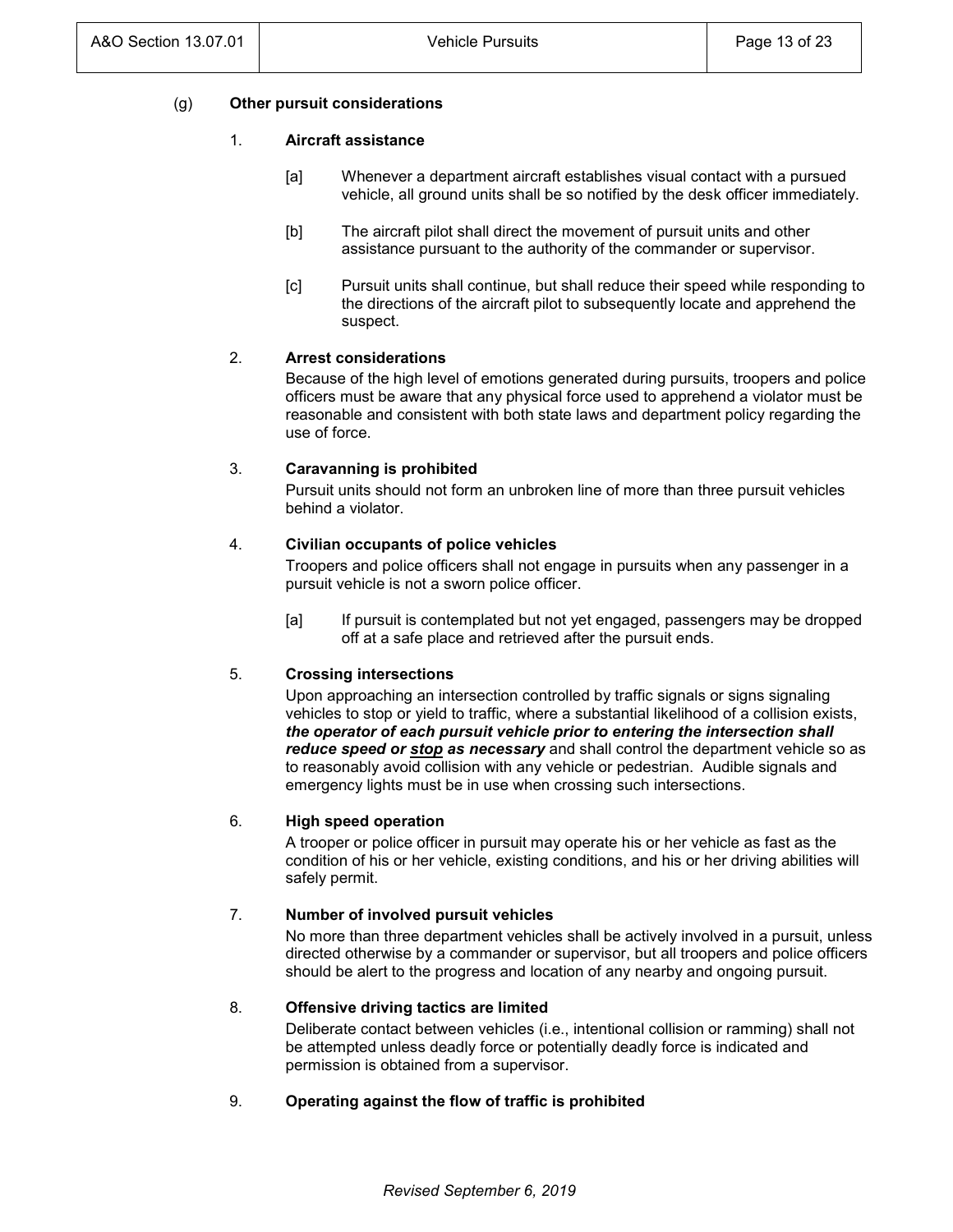## (g) **Other pursuit considerations**

## 1. **Aircraft assistance**

- [a] Whenever a department aircraft establishes visual contact with a pursued vehicle, all ground units shall be so notified by the desk officer immediately.
- [b] The aircraft pilot shall direct the movement of pursuit units and other assistance pursuant to the authority of the commander or supervisor.
- [c] Pursuit units shall continue, but shall reduce their speed while responding to the directions of the aircraft pilot to subsequently locate and apprehend the suspect.

## 2. **Arrest considerations**

Because of the high level of emotions generated during pursuits, troopers and police officers must be aware that any physical force used to apprehend a violator must be reasonable and consistent with both state laws and department policy regarding the use of force.

## 3. **Caravanning is prohibited**

Pursuit units should not form an unbroken line of more than three pursuit vehicles behind a violator.

## 4. **Civilian occupants of police vehicles**

Troopers and police officers shall not engage in pursuits when any passenger in a pursuit vehicle is not a sworn police officer.

[a] If pursuit is contemplated but not yet engaged, passengers may be dropped off at a safe place and retrieved after the pursuit ends.

## 5. **Crossing intersections**

Upon approaching an intersection controlled by traffic signals or signs signaling vehicles to stop or yield to traffic, where a substantial likelihood of a collision exists, *the operator of each pursuit vehicle prior to entering the intersection shall reduce speed or stop as necessary* and shall control the department vehicle so as to reasonably avoid collision with any vehicle or pedestrian. Audible signals and emergency lights must be in use when crossing such intersections.

## 6. **High speed operation**

A trooper or police officer in pursuit may operate his or her vehicle as fast as the condition of his or her vehicle, existing conditions, and his or her driving abilities will safely permit.

## 7. **Number of involved pursuit vehicles**

No more than three department vehicles shall be actively involved in a pursuit, unless directed otherwise by a commander or supervisor, but all troopers and police officers should be alert to the progress and location of any nearby and ongoing pursuit.

## 8. **Offensive driving tactics are limited**

Deliberate contact between vehicles (i.e., intentional collision or ramming) shall not be attempted unless deadly force or potentially deadly force is indicated and permission is obtained from a supervisor.

# 9. **Operating against the flow of traffic is prohibited**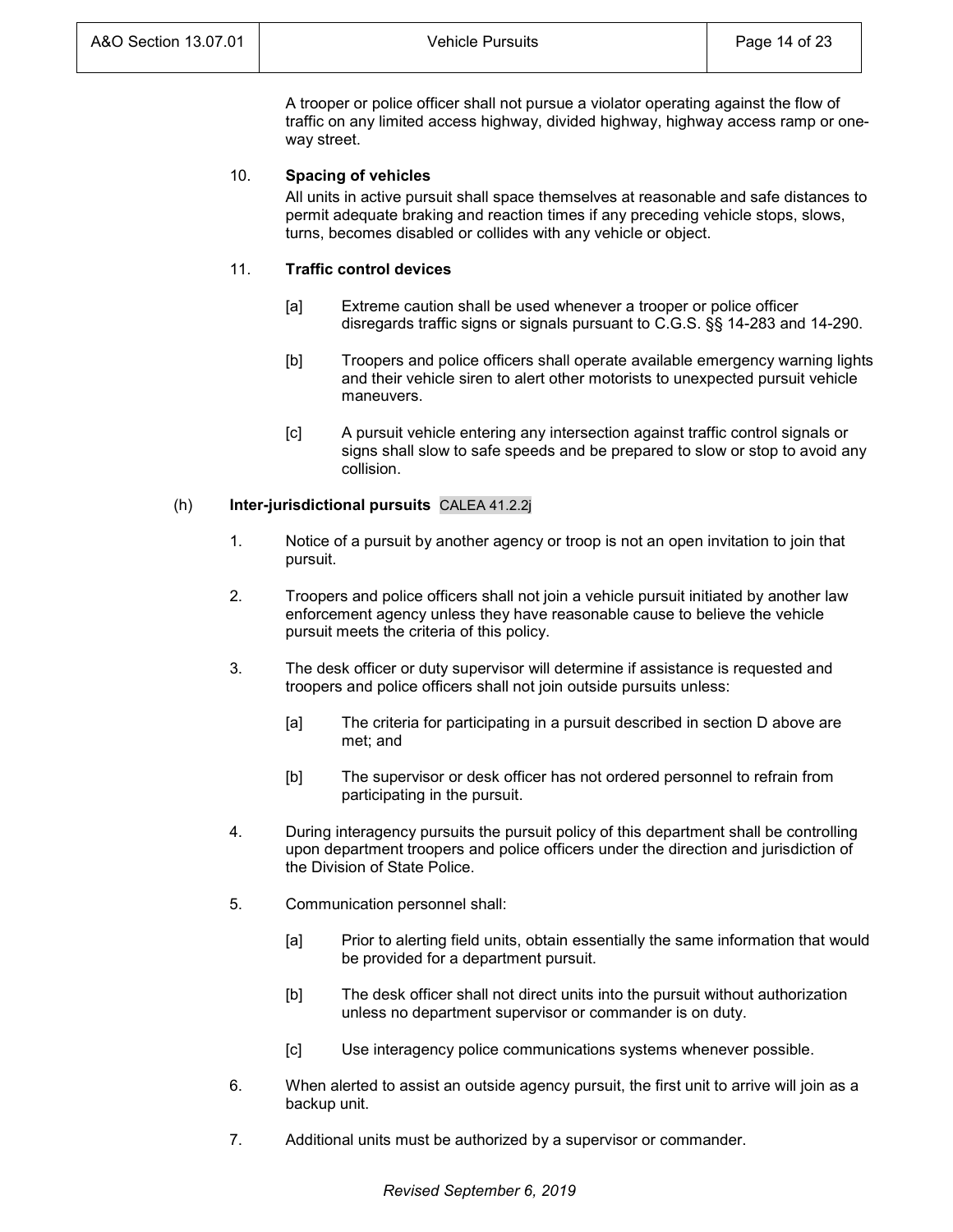A trooper or police officer shall not pursue a violator operating against the flow of traffic on any limited access highway, divided highway, highway access ramp or oneway street.

# 10. **Spacing of vehicles**

All units in active pursuit shall space themselves at reasonable and safe distances to permit adequate braking and reaction times if any preceding vehicle stops, slows, turns, becomes disabled or collides with any vehicle or object.

# 11. **Traffic control devices**

- [a] Extreme caution shall be used whenever a trooper or police officer disregards traffic signs or signals pursuant to C.G.S. §§ 14-283 and 14-290.
- [b] Troopers and police officers shall operate available emergency warning lights and their vehicle siren to alert other motorists to unexpected pursuit vehicle maneuvers.
- [c] A pursuit vehicle entering any intersection against traffic control signals or signs shall slow to safe speeds and be prepared to slow or stop to avoid any collision.

# (h) **Inter-jurisdictional pursuits** CALEA 41.2.2j

- 1. Notice of a pursuit by another agency or troop is not an open invitation to join that pursuit.
- 2. Troopers and police officers shall not join a vehicle pursuit initiated by another law enforcement agency unless they have reasonable cause to believe the vehicle pursuit meets the criteria of this policy.
- 3. The desk officer or duty supervisor will determine if assistance is requested and troopers and police officers shall not join outside pursuits unless:
	- [a] The criteria for participating in a pursuit described in section D above are met; and
	- [b] The supervisor or desk officer has not ordered personnel to refrain from participating in the pursuit.
- 4. During interagency pursuits the pursuit policy of this department shall be controlling upon department troopers and police officers under the direction and jurisdiction of the Division of State Police.
- 5. Communication personnel shall:
	- [a] Prior to alerting field units, obtain essentially the same information that would be provided for a department pursuit.
	- [b] The desk officer shall not direct units into the pursuit without authorization unless no department supervisor or commander is on duty.
	- [c] Use interagency police communications systems whenever possible.
- 6. When alerted to assist an outside agency pursuit, the first unit to arrive will join as a backup unit.
- 7. Additional units must be authorized by a supervisor or commander.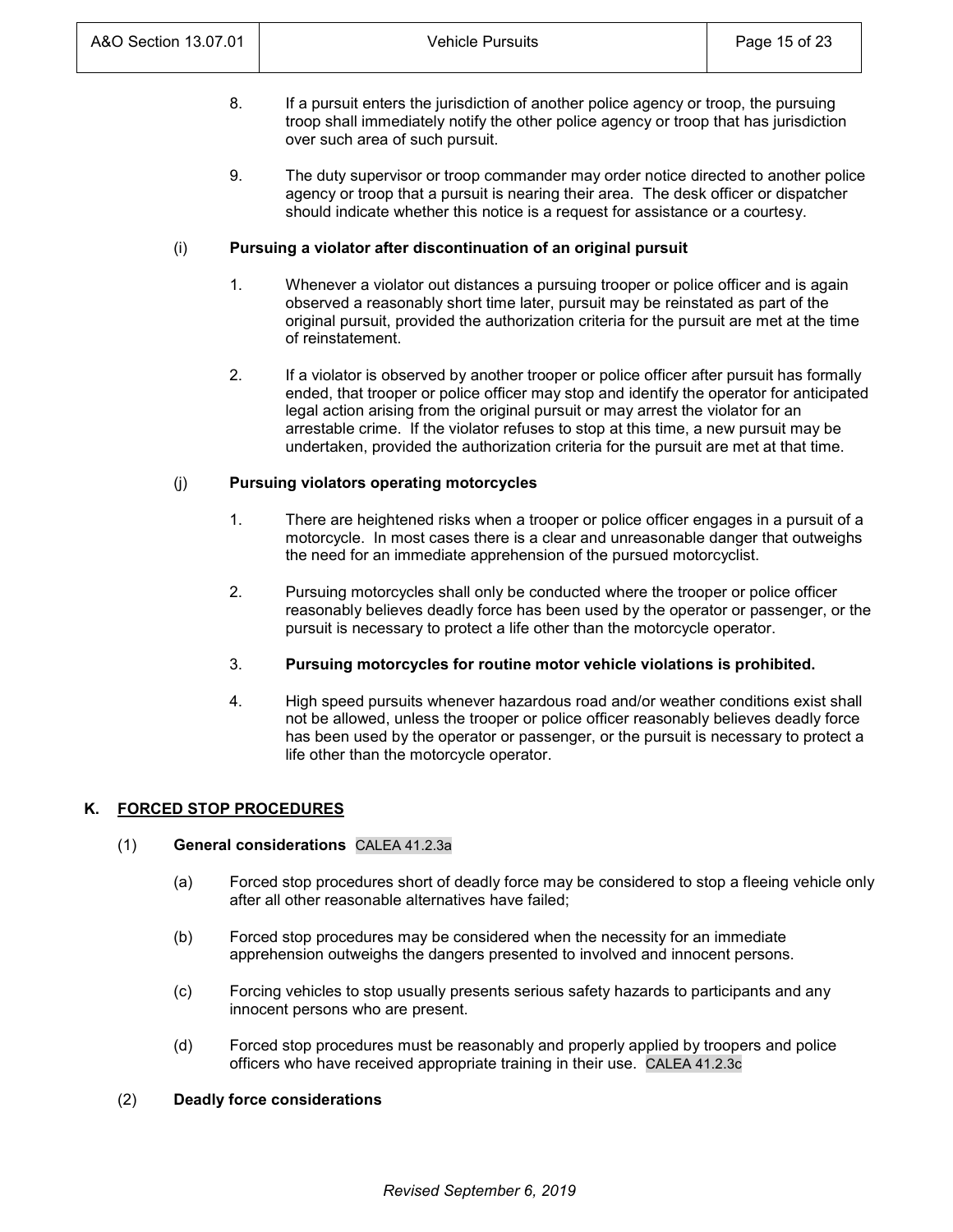- 8. If a pursuit enters the jurisdiction of another police agency or troop, the pursuing troop shall immediately notify the other police agency or troop that has jurisdiction over such area of such pursuit.
- 9. The duty supervisor or troop commander may order notice directed to another police agency or troop that a pursuit is nearing their area. The desk officer or dispatcher should indicate whether this notice is a request for assistance or a courtesy.

## (i) **Pursuing a violator after discontinuation of an original pursuit**

- 1. Whenever a violator out distances a pursuing trooper or police officer and is again observed a reasonably short time later, pursuit may be reinstated as part of the original pursuit, provided the authorization criteria for the pursuit are met at the time of reinstatement.
- 2. If a violator is observed by another trooper or police officer after pursuit has formally ended, that trooper or police officer may stop and identify the operator for anticipated legal action arising from the original pursuit or may arrest the violator for an arrestable crime. If the violator refuses to stop at this time, a new pursuit may be undertaken, provided the authorization criteria for the pursuit are met at that time.

# (j) **Pursuing violators operating motorcycles**

- 1. There are heightened risks when a trooper or police officer engages in a pursuit of a motorcycle. In most cases there is a clear and unreasonable danger that outweighs the need for an immediate apprehension of the pursued motorcyclist.
- 2. Pursuing motorcycles shall only be conducted where the trooper or police officer reasonably believes deadly force has been used by the operator or passenger, or the pursuit is necessary to protect a life other than the motorcycle operator.
- 3. **Pursuing motorcycles for routine motor vehicle violations is prohibited.**
- 4. High speed pursuits whenever hazardous road and/or weather conditions exist shall not be allowed, unless the trooper or police officer reasonably believes deadly force has been used by the operator or passenger, or the pursuit is necessary to protect a life other than the motorcycle operator.

# **K. FORCED STOP PROCEDURES**

# (1) **General considerations** CALEA 41.2.3a

- (a) Forced stop procedures short of deadly force may be considered to stop a fleeing vehicle only after all other reasonable alternatives have failed;
- (b) Forced stop procedures may be considered when the necessity for an immediate apprehension outweighs the dangers presented to involved and innocent persons.
- (c) Forcing vehicles to stop usually presents serious safety hazards to participants and any innocent persons who are present.
- (d) Forced stop procedures must be reasonably and properly applied by troopers and police officers who have received appropriate training in their use. CALEA 41.2.3c

## (2) **Deadly force considerations**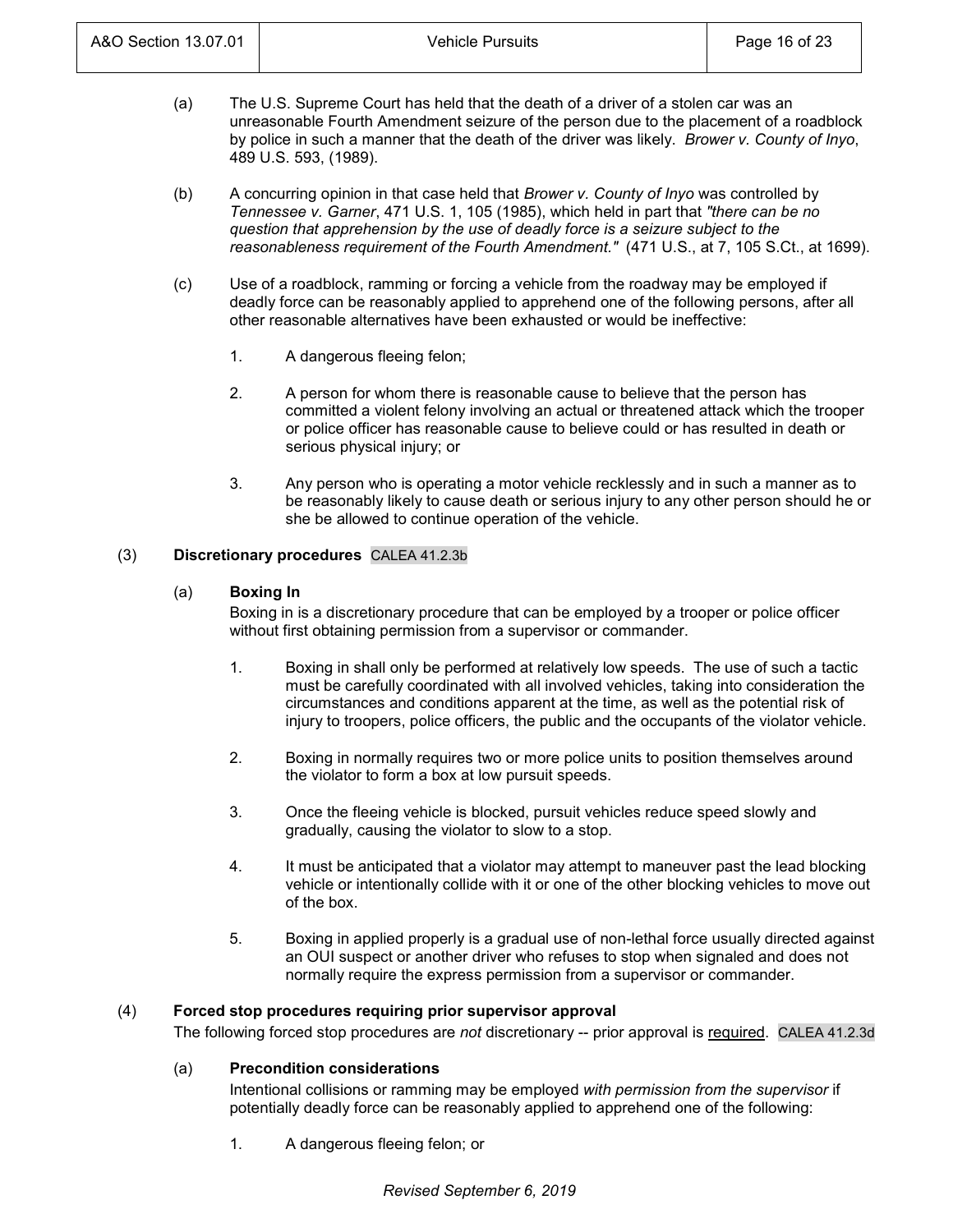- (a) The U.S. Supreme Court has held that the death of a driver of a stolen car was an unreasonable Fourth Amendment seizure of the person due to the placement of a roadblock by police in such a manner that the death of the driver was likely. *Brower v. County of Inyo*, 489 U.S. 593, (1989).
- (b) A concurring opinion in that case held that *Brower v. County of Inyo* was controlled by *Tennessee v. Garner*, 471 U.S. 1, 105 (1985), which held in part that *"there can be no question that apprehension by the use of deadly force is a seizure subject to the reasonableness requirement of the Fourth Amendment."* (471 U.S., at 7, 105 S.Ct., at 1699).
- (c) Use of a roadblock, ramming or forcing a vehicle from the roadway may be employed if deadly force can be reasonably applied to apprehend one of the following persons, after all other reasonable alternatives have been exhausted or would be ineffective:
	- 1. A dangerous fleeing felon;
	- 2. A person for whom there is reasonable cause to believe that the person has committed a violent felony involving an actual or threatened attack which the trooper or police officer has reasonable cause to believe could or has resulted in death or serious physical injury; or
	- 3. Any person who is operating a motor vehicle recklessly and in such a manner as to be reasonably likely to cause death or serious injury to any other person should he or she be allowed to continue operation of the vehicle.

# (3) **Discretionary procedures** CALEA 41.2.3b

# (a) **Boxing In**

Boxing in is a discretionary procedure that can be employed by a trooper or police officer without first obtaining permission from a supervisor or commander.

- 1. Boxing in shall only be performed at relatively low speeds. The use of such a tactic must be carefully coordinated with all involved vehicles, taking into consideration the circumstances and conditions apparent at the time, as well as the potential risk of injury to troopers, police officers, the public and the occupants of the violator vehicle.
- 2. Boxing in normally requires two or more police units to position themselves around the violator to form a box at low pursuit speeds.
- 3. Once the fleeing vehicle is blocked, pursuit vehicles reduce speed slowly and gradually, causing the violator to slow to a stop.
- 4. It must be anticipated that a violator may attempt to maneuver past the lead blocking vehicle or intentionally collide with it or one of the other blocking vehicles to move out of the box.
- 5. Boxing in applied properly is a gradual use of non-lethal force usually directed against an OUI suspect or another driver who refuses to stop when signaled and does not normally require the express permission from a supervisor or commander.

# (4) **Forced stop procedures requiring prior supervisor approval**

The following forced stop procedures are *not* discretionary -- prior approval is required. CALEA 41.2.3d

# (a) **Precondition considerations**

Intentional collisions or ramming may be employed *with permission from the supervisor* if potentially deadly force can be reasonably applied to apprehend one of the following:

1. A dangerous fleeing felon; or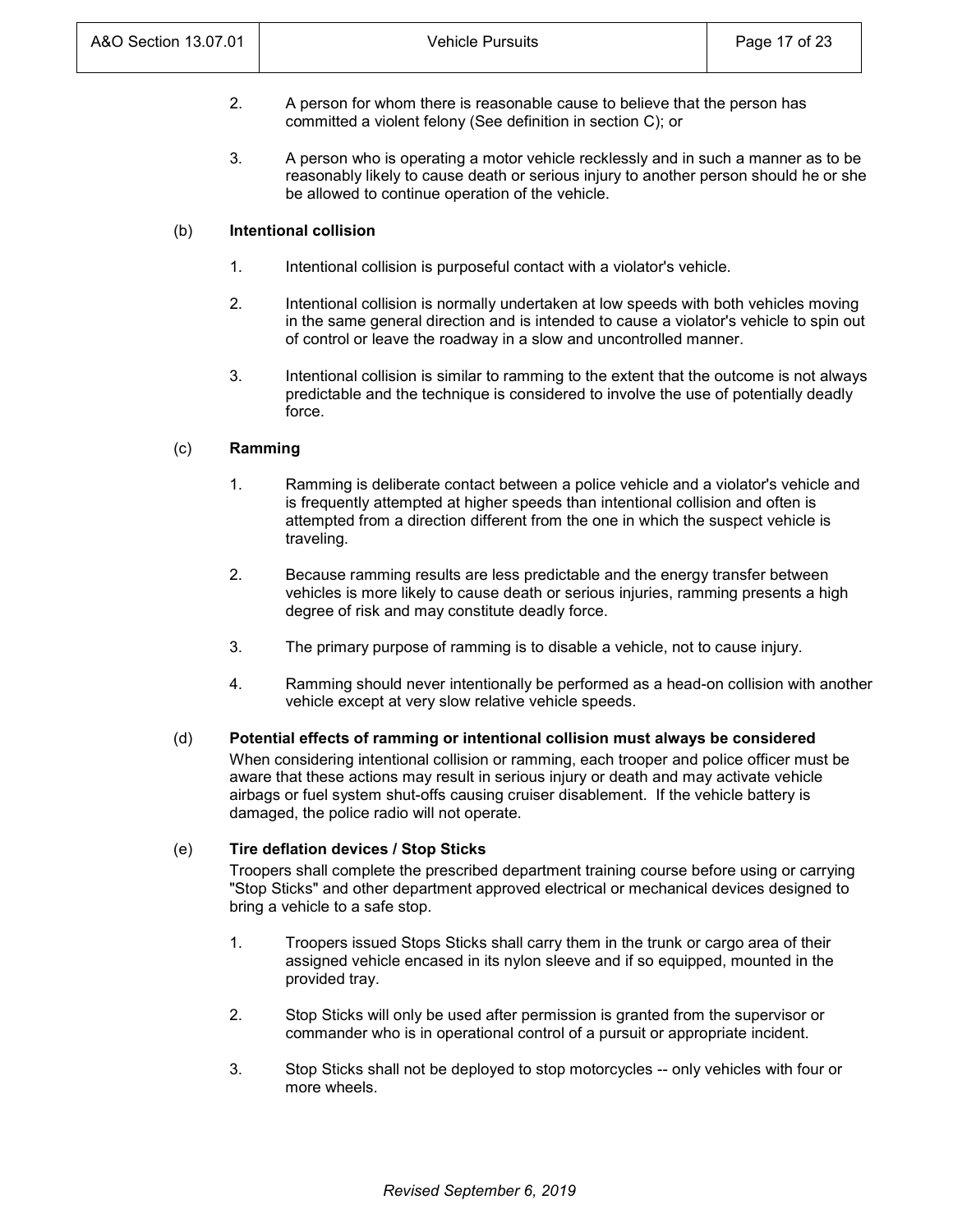- 2. A person for whom there is reasonable cause to believe that the person has committed a violent felony (See definition in section C); or
- 3. A person who is operating a motor vehicle recklessly and in such a manner as to be reasonably likely to cause death or serious injury to another person should he or she be allowed to continue operation of the vehicle.

## (b) **Intentional collision**

- 1. Intentional collision is purposeful contact with a violator's vehicle.
- 2. Intentional collision is normally undertaken at low speeds with both vehicles moving in the same general direction and is intended to cause a violator's vehicle to spin out of control or leave the roadway in a slow and uncontrolled manner.
- 3. Intentional collision is similar to ramming to the extent that the outcome is not always predictable and the technique is considered to involve the use of potentially deadly force.

# (c) **Ramming**

- 1. Ramming is deliberate contact between a police vehicle and a violator's vehicle and is frequently attempted at higher speeds than intentional collision and often is attempted from a direction different from the one in which the suspect vehicle is traveling.
- 2. Because ramming results are less predictable and the energy transfer between vehicles is more likely to cause death or serious injuries, ramming presents a high degree of risk and may constitute deadly force.
- 3. The primary purpose of ramming is to disable a vehicle, not to cause injury.
- 4. Ramming should never intentionally be performed as a head-on collision with another vehicle except at very slow relative vehicle speeds.

# (d) **Potential effects of ramming or intentional collision must always be considered**

When considering intentional collision or ramming, each trooper and police officer must be aware that these actions may result in serious injury or death and may activate vehicle airbags or fuel system shut-offs causing cruiser disablement. If the vehicle battery is damaged, the police radio will not operate.

# (e) **Tire deflation devices / Stop Sticks**

Troopers shall complete the prescribed department training course before using or carrying "Stop Sticks" and other department approved electrical or mechanical devices designed to bring a vehicle to a safe stop.

- 1. Troopers issued Stops Sticks shall carry them in the trunk or cargo area of their assigned vehicle encased in its nylon sleeve and if so equipped, mounted in the provided tray.
- 2. Stop Sticks will only be used after permission is granted from the supervisor or commander who is in operational control of a pursuit or appropriate incident.
- 3. Stop Sticks shall not be deployed to stop motorcycles -- only vehicles with four or more wheels.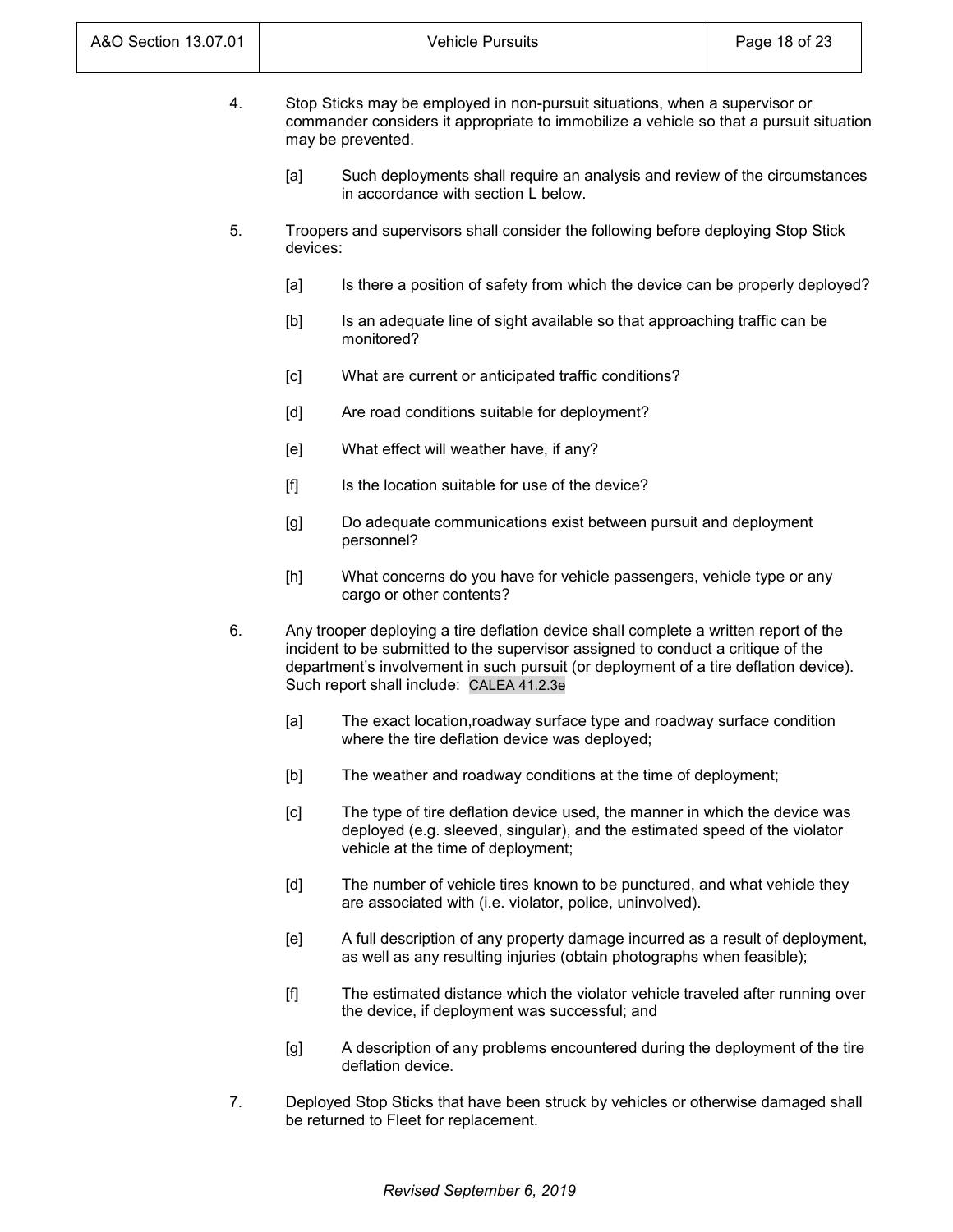| A&O Section 13.07.01 |                                                                                                                                                                                            | <b>Vehicle Pursuits</b>                                                                                                                                                                                                                                                                                      | Page 18 of 23 |
|----------------------|--------------------------------------------------------------------------------------------------------------------------------------------------------------------------------------------|--------------------------------------------------------------------------------------------------------------------------------------------------------------------------------------------------------------------------------------------------------------------------------------------------------------|---------------|
| 4.                   | Stop Sticks may be employed in non-pursuit situations, when a supervisor or<br>commander considers it appropriate to immobilize a vehicle so that a pursuit situation<br>may be prevented. |                                                                                                                                                                                                                                                                                                              |               |
|                      | [a]                                                                                                                                                                                        | Such deployments shall require an analysis and review of the circumstances<br>in accordance with section L below.                                                                                                                                                                                            |               |
| 5.                   | devices:                                                                                                                                                                                   | Troopers and supervisors shall consider the following before deploying Stop Stick                                                                                                                                                                                                                            |               |
|                      | [a]                                                                                                                                                                                        | Is there a position of safety from which the device can be properly deployed?                                                                                                                                                                                                                                |               |
|                      | [b]                                                                                                                                                                                        | Is an adequate line of sight available so that approaching traffic can be<br>monitored?                                                                                                                                                                                                                      |               |
|                      | [c]                                                                                                                                                                                        | What are current or anticipated traffic conditions?                                                                                                                                                                                                                                                          |               |
|                      | [d]                                                                                                                                                                                        | Are road conditions suitable for deployment?                                                                                                                                                                                                                                                                 |               |
|                      | [e]                                                                                                                                                                                        | What effect will weather have, if any?                                                                                                                                                                                                                                                                       |               |
|                      | $[f]$                                                                                                                                                                                      | Is the location suitable for use of the device?                                                                                                                                                                                                                                                              |               |
|                      | [g]                                                                                                                                                                                        | Do adequate communications exist between pursuit and deployment<br>personnel?                                                                                                                                                                                                                                |               |
|                      | [h]                                                                                                                                                                                        | What concerns do you have for vehicle passengers, vehicle type or any<br>cargo or other contents?                                                                                                                                                                                                            |               |
| 6.                   |                                                                                                                                                                                            | Any trooper deploying a tire deflation device shall complete a written report of the<br>incident to be submitted to the supervisor assigned to conduct a critique of the<br>department's involvement in such pursuit (or deployment of a tire deflation device).<br>Such report shall include: CALEA 41.2.3e |               |
|                      | [a]                                                                                                                                                                                        | The exact location, roadway surface type and roadway surface condition<br>where the tire deflation device was deployed;                                                                                                                                                                                      |               |
|                      | [b]                                                                                                                                                                                        | The weather and roadway conditions at the time of deployment;                                                                                                                                                                                                                                                |               |
|                      | [c]                                                                                                                                                                                        | The type of tire deflation device used, the manner in which the device was<br>deployed (e.g. sleeved, singular), and the estimated speed of the violator<br>vehicle at the time of deployment;                                                                                                               |               |
|                      | [d]                                                                                                                                                                                        | The number of vehicle tires known to be punctured, and what vehicle they<br>are associated with (i.e. violator, police, uninvolved).                                                                                                                                                                         |               |
|                      | [e]                                                                                                                                                                                        | A full description of any property damage incurred as a result of deployment,<br>as well as any resulting injuries (obtain photographs when feasible);                                                                                                                                                       |               |
|                      | [f]                                                                                                                                                                                        | The estimated distance which the violator vehicle traveled after running over<br>the device, if deployment was successful; and                                                                                                                                                                               |               |

- [g] A description of any problems encountered during the deployment of the tire deflation device.
- 7. Deployed Stop Sticks that have been struck by vehicles or otherwise damaged shall be returned to Fleet for replacement.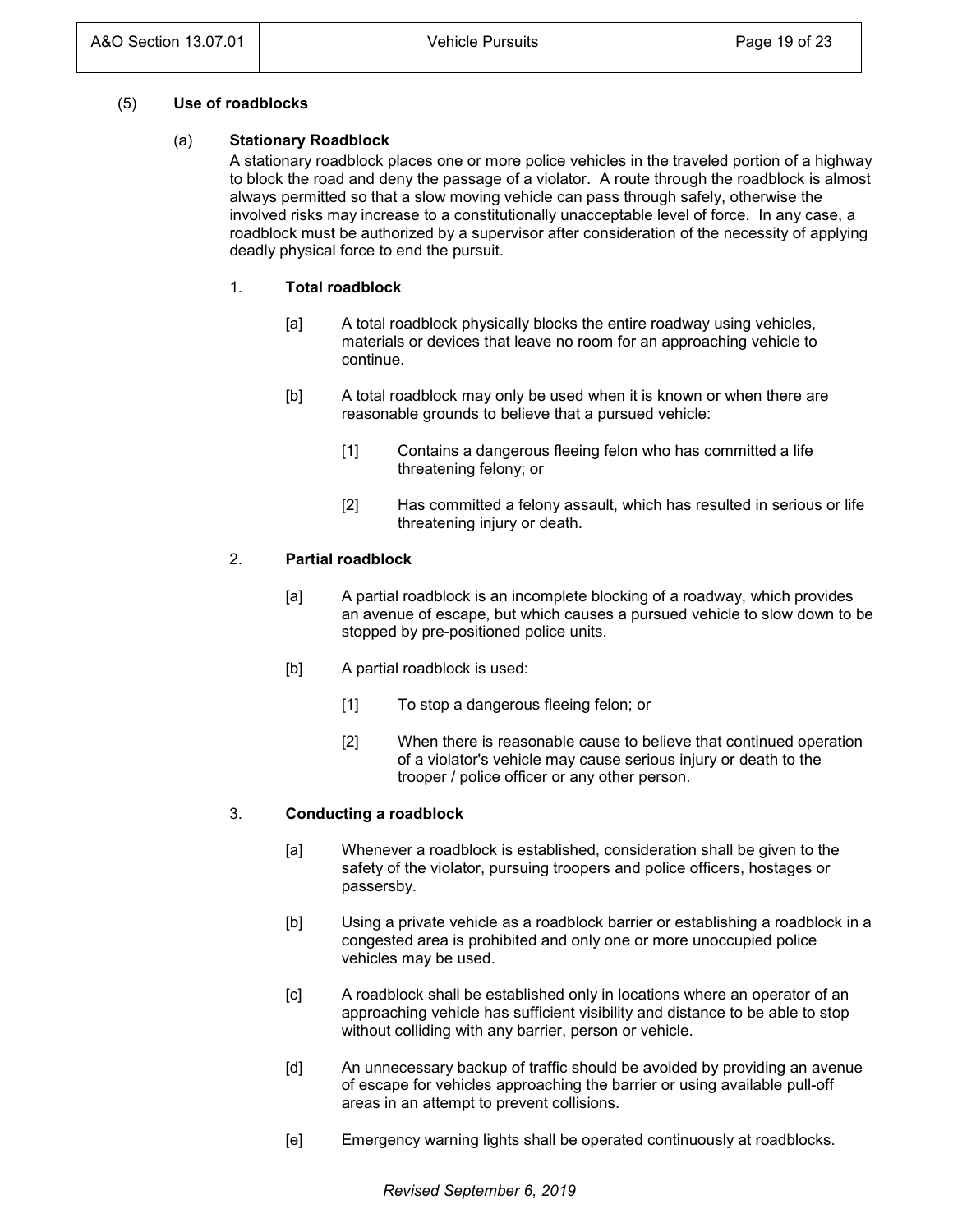## (5) **Use of roadblocks**

## (a) **Stationary Roadblock**

A stationary roadblock places one or more police vehicles in the traveled portion of a highway to block the road and deny the passage of a violator. A route through the roadblock is almost always permitted so that a slow moving vehicle can pass through safely, otherwise the involved risks may increase to a constitutionally unacceptable level of force. In any case, a roadblock must be authorized by a supervisor after consideration of the necessity of applying deadly physical force to end the pursuit.

# 1. **Total roadblock**

- [a] A total roadblock physically blocks the entire roadway using vehicles, materials or devices that leave no room for an approaching vehicle to continue.
- [b] A total roadblock may only be used when it is known or when there are reasonable grounds to believe that a pursued vehicle:
	- [1] Contains a dangerous fleeing felon who has committed a life threatening felony; or
	- [2] Has committed a felony assault, which has resulted in serious or life threatening injury or death.

# 2. **Partial roadblock**

- [a] A partial roadblock is an incomplete blocking of a roadway, which provides an avenue of escape, but which causes a pursued vehicle to slow down to be stopped by pre-positioned police units.
- [b] A partial roadblock is used:
	- [1] To stop a dangerous fleeing felon; or
	- [2] When there is reasonable cause to believe that continued operation of a violator's vehicle may cause serious injury or death to the trooper / police officer or any other person.

# 3. **Conducting a roadblock**

- [a] Whenever a roadblock is established, consideration shall be given to the safety of the violator, pursuing troopers and police officers, hostages or passersby.
- [b] Using a private vehicle as a roadblock barrier or establishing a roadblock in a congested area is prohibited and only one or more unoccupied police vehicles may be used.
- [c] A roadblock shall be established only in locations where an operator of an approaching vehicle has sufficient visibility and distance to be able to stop without colliding with any barrier, person or vehicle.
- [d] An unnecessary backup of traffic should be avoided by providing an avenue of escape for vehicles approaching the barrier or using available pull-off areas in an attempt to prevent collisions.
- [e] Emergency warning lights shall be operated continuously at roadblocks.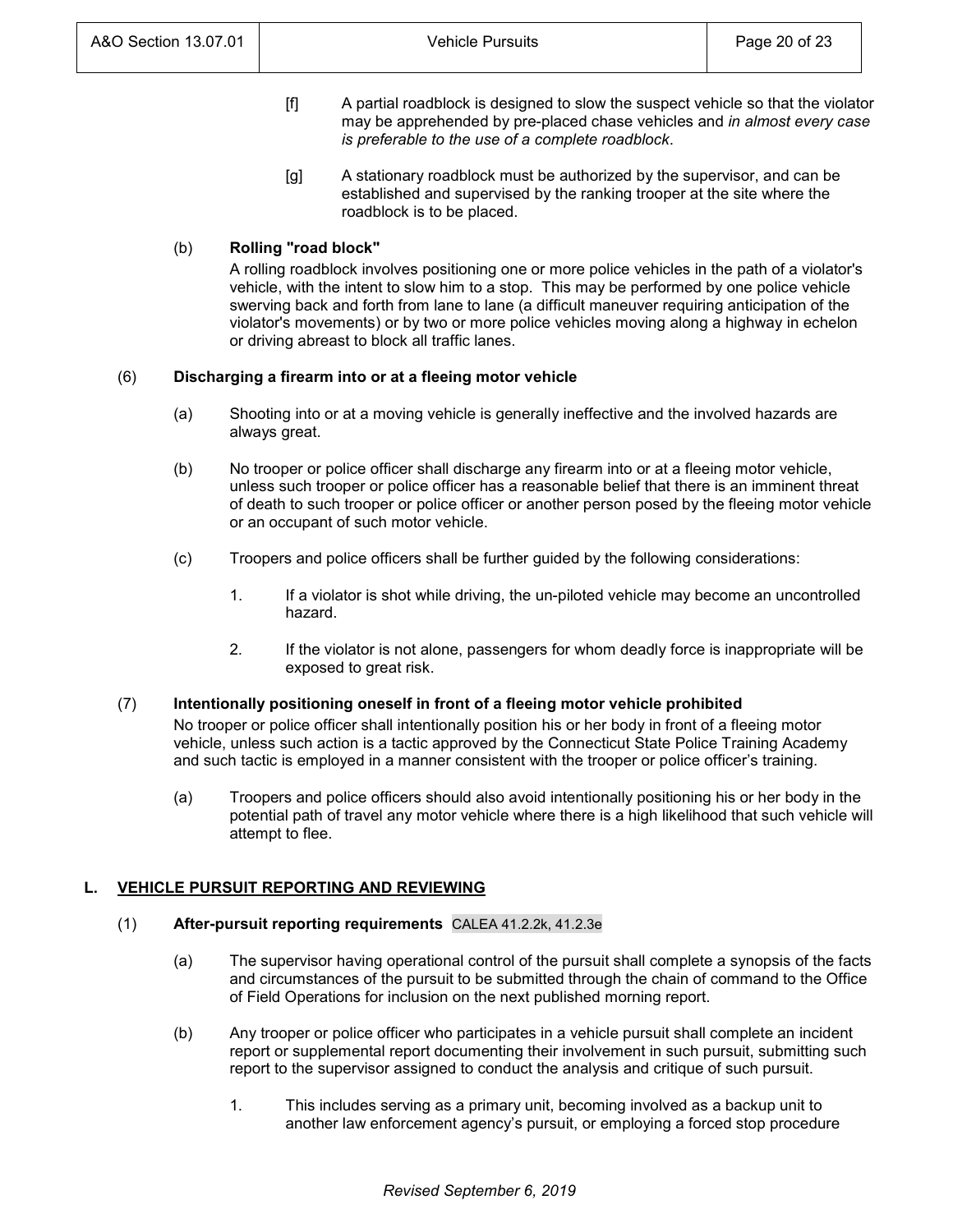- [f] A partial roadblock is designed to slow the suspect vehicle so that the violator may be apprehended by pre-placed chase vehicles and *in almost every case is preferable to the use of a complete roadblock*.
- [g] A stationary roadblock must be authorized by the supervisor, and can be established and supervised by the ranking trooper at the site where the roadblock is to be placed.

# (b) **Rolling "road block"**

A rolling roadblock involves positioning one or more police vehicles in the path of a violator's vehicle, with the intent to slow him to a stop. This may be performed by one police vehicle swerving back and forth from lane to lane (a difficult maneuver requiring anticipation of the violator's movements) or by two or more police vehicles moving along a highway in echelon or driving abreast to block all traffic lanes.

# (6) **Discharging a firearm into or at a fleeing motor vehicle**

- (a) Shooting into or at a moving vehicle is generally ineffective and the involved hazards are always great.
- (b) No trooper or police officer shall discharge any firearm into or at a fleeing motor vehicle, unless such trooper or police officer has a reasonable belief that there is an imminent threat of death to such trooper or police officer or another person posed by the fleeing motor vehicle or an occupant of such motor vehicle.
- (c) Troopers and police officers shall be further guided by the following considerations:
	- 1. If a violator is shot while driving, the un-piloted vehicle may become an uncontrolled hazard.
	- 2. If the violator is not alone, passengers for whom deadly force is inappropriate will be exposed to great risk.

# (7) **Intentionally positioning oneself in front of a fleeing motor vehicle prohibited**

No trooper or police officer shall intentionally position his or her body in front of a fleeing motor vehicle, unless such action is a tactic approved by the Connecticut State Police Training Academy and such tactic is employed in a manner consistent with the trooper or police officer's training.

(a) Troopers and police officers should also avoid intentionally positioning his or her body in the potential path of travel any motor vehicle where there is a high likelihood that such vehicle will attempt to flee.

# **L. VEHICLE PURSUIT REPORTING AND REVIEWING**

# (1) **After-pursuit reporting requirements** CALEA 41.2.2k, 41.2.3e

- (a) The supervisor having operational control of the pursuit shall complete a synopsis of the facts and circumstances of the pursuit to be submitted through the chain of command to the Office of Field Operations for inclusion on the next published morning report.
- (b) Any trooper or police officer who participates in a vehicle pursuit shall complete an incident report or supplemental report documenting their involvement in such pursuit, submitting such report to the supervisor assigned to conduct the analysis and critique of such pursuit.
	- 1. This includes serving as a primary unit, becoming involved as a backup unit to another law enforcement agency's pursuit, or employing a forced stop procedure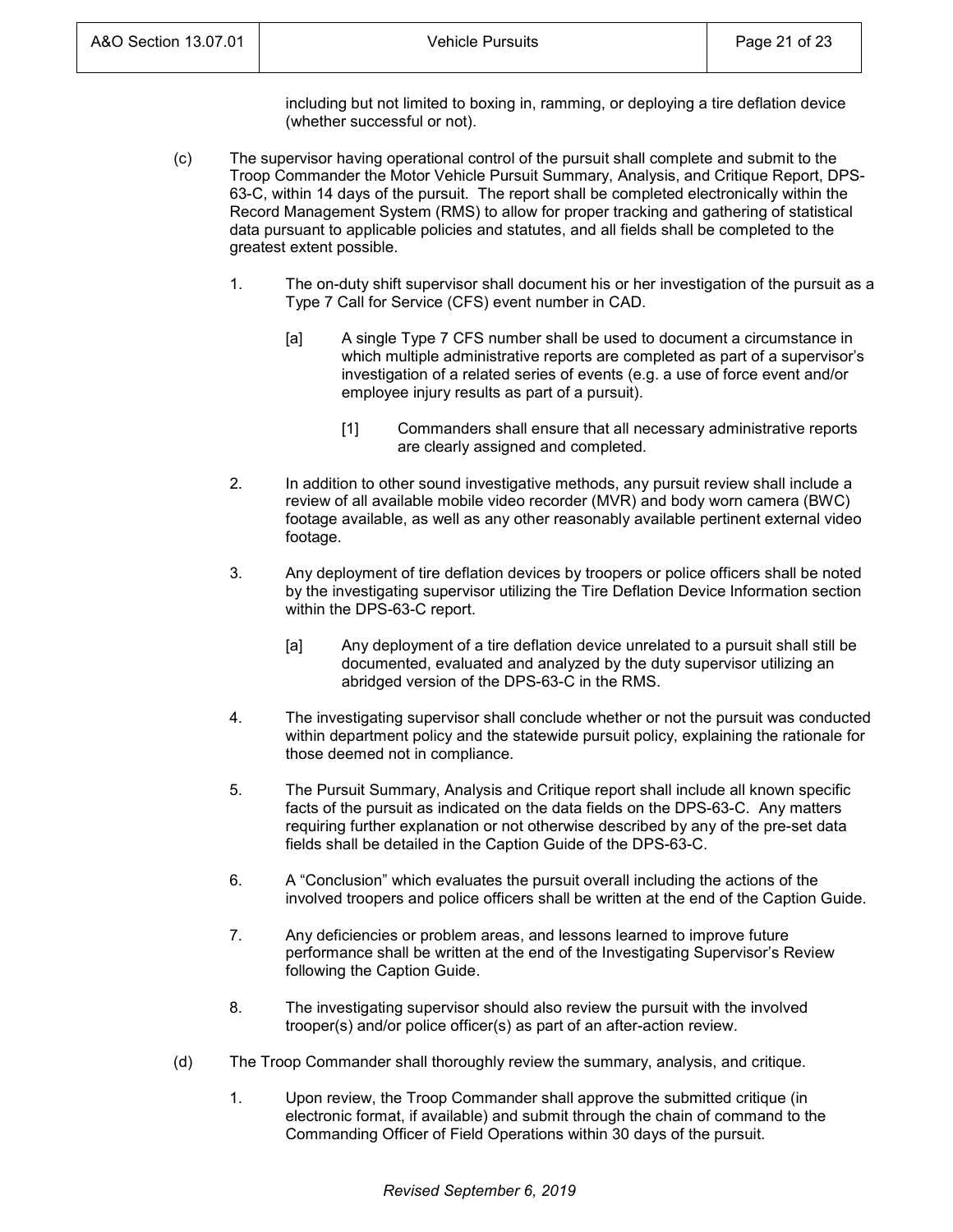including but not limited to boxing in, ramming, or deploying a tire deflation device (whether successful or not).

- (c) The supervisor having operational control of the pursuit shall complete and submit to the Troop Commander the Motor Vehicle Pursuit Summary, Analysis, and Critique Report, DPS-63-C, within 14 days of the pursuit. The report shall be completed electronically within the Record Management System (RMS) to allow for proper tracking and gathering of statistical data pursuant to applicable policies and statutes, and all fields shall be completed to the greatest extent possible.
	- 1. The on-duty shift supervisor shall document his or her investigation of the pursuit as a Type 7 Call for Service (CFS) event number in CAD.
		- [a] A single Type 7 CFS number shall be used to document a circumstance in which multiple administrative reports are completed as part of a supervisor's investigation of a related series of events (e.g. a use of force event and/or employee injury results as part of a pursuit).
			- [1] Commanders shall ensure that all necessary administrative reports are clearly assigned and completed.
	- 2. In addition to other sound investigative methods, any pursuit review shall include a review of all available mobile video recorder (MVR) and body worn camera (BWC) footage available, as well as any other reasonably available pertinent external video footage.
	- 3. Any deployment of tire deflation devices by troopers or police officers shall be noted by the investigating supervisor utilizing the Tire Deflation Device Information section within the DPS-63-C report.
		- [a] Any deployment of a tire deflation device unrelated to a pursuit shall still be documented, evaluated and analyzed by the duty supervisor utilizing an abridged version of the DPS-63-C in the RMS.
	- 4. The investigating supervisor shall conclude whether or not the pursuit was conducted within department policy and the statewide pursuit policy, explaining the rationale for those deemed not in compliance.
	- 5. The Pursuit Summary, Analysis and Critique report shall include all known specific facts of the pursuit as indicated on the data fields on the DPS-63-C. Any matters requiring further explanation or not otherwise described by any of the pre-set data fields shall be detailed in the Caption Guide of the DPS-63-C.
	- 6. A "Conclusion" which evaluates the pursuit overall including the actions of the involved troopers and police officers shall be written at the end of the Caption Guide.
	- 7. Any deficiencies or problem areas, and lessons learned to improve future performance shall be written at the end of the Investigating Supervisor's Review following the Caption Guide.
	- 8. The investigating supervisor should also review the pursuit with the involved trooper(s) and/or police officer(s) as part of an after-action review.
- (d) The Troop Commander shall thoroughly review the summary, analysis, and critique.
	- 1. Upon review, the Troop Commander shall approve the submitted critique (in electronic format, if available) and submit through the chain of command to the Commanding Officer of Field Operations within 30 days of the pursuit.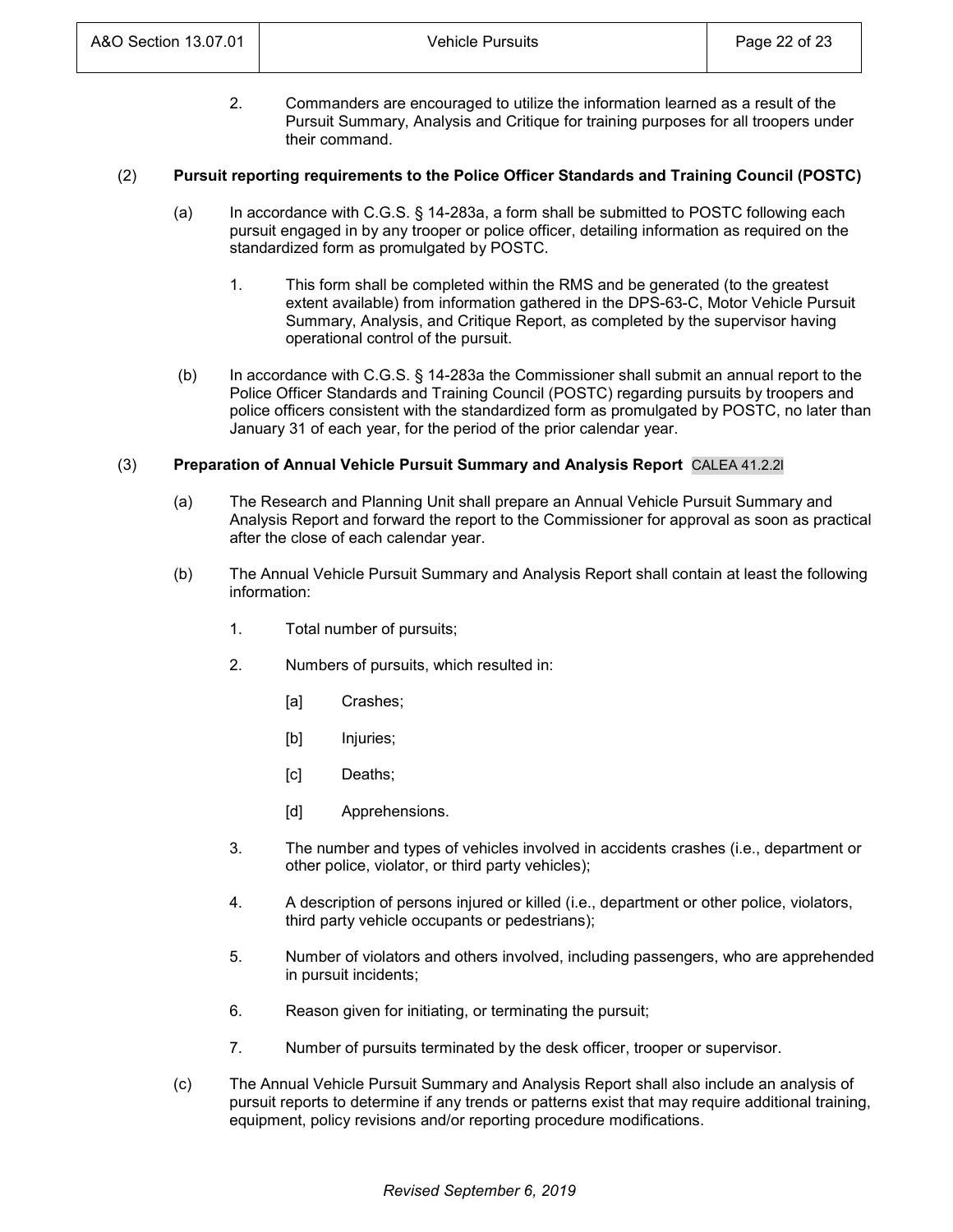2. Commanders are encouraged to utilize the information learned as a result of the Pursuit Summary, Analysis and Critique for training purposes for all troopers under their command.

## (2) **Pursuit reporting requirements to the Police Officer Standards and Training Council (POSTC)**

- (a) In accordance with C.G.S. § 14-283a, a form shall be submitted to POSTC following each pursuit engaged in by any trooper or police officer, detailing information as required on the standardized form as promulgated by POSTC.
	- 1. This form shall be completed within the RMS and be generated (to the greatest extent available) from information gathered in the DPS-63-C, Motor Vehicle Pursuit Summary, Analysis, and Critique Report, as completed by the supervisor having operational control of the pursuit.
- (b) In accordance with C.G.S. § 14-283a the Commissioner shall submit an annual report to the Police Officer Standards and Training Council (POSTC) regarding pursuits by troopers and police officers consistent with the standardized form as promulgated by POSTC, no later than January 31 of each year, for the period of the prior calendar year.

## (3) **Preparation of Annual Vehicle Pursuit Summary and Analysis Report** CALEA 41.2.2l

- (a) The Research and Planning Unit shall prepare an Annual Vehicle Pursuit Summary and Analysis Report and forward the report to the Commissioner for approval as soon as practical after the close of each calendar year.
- (b) The Annual Vehicle Pursuit Summary and Analysis Report shall contain at least the following information:
	- 1. Total number of pursuits;
	- 2. Numbers of pursuits, which resulted in:
		- [a] Crashes;
		- [b] Injuries;
		- [c] Deaths;
		- [d] Apprehensions.
	- 3. The number and types of vehicles involved in accidents crashes (i.e., department or other police, violator, or third party vehicles);
	- 4. A description of persons injured or killed (i.e., department or other police, violators, third party vehicle occupants or pedestrians);
	- 5. Number of violators and others involved, including passengers, who are apprehended in pursuit incidents;
	- 6. Reason given for initiating, or terminating the pursuit;
	- 7. Number of pursuits terminated by the desk officer, trooper or supervisor.
- (c) The Annual Vehicle Pursuit Summary and Analysis Report shall also include an analysis of pursuit reports to determine if any trends or patterns exist that may require additional training, equipment, policy revisions and/or reporting procedure modifications.